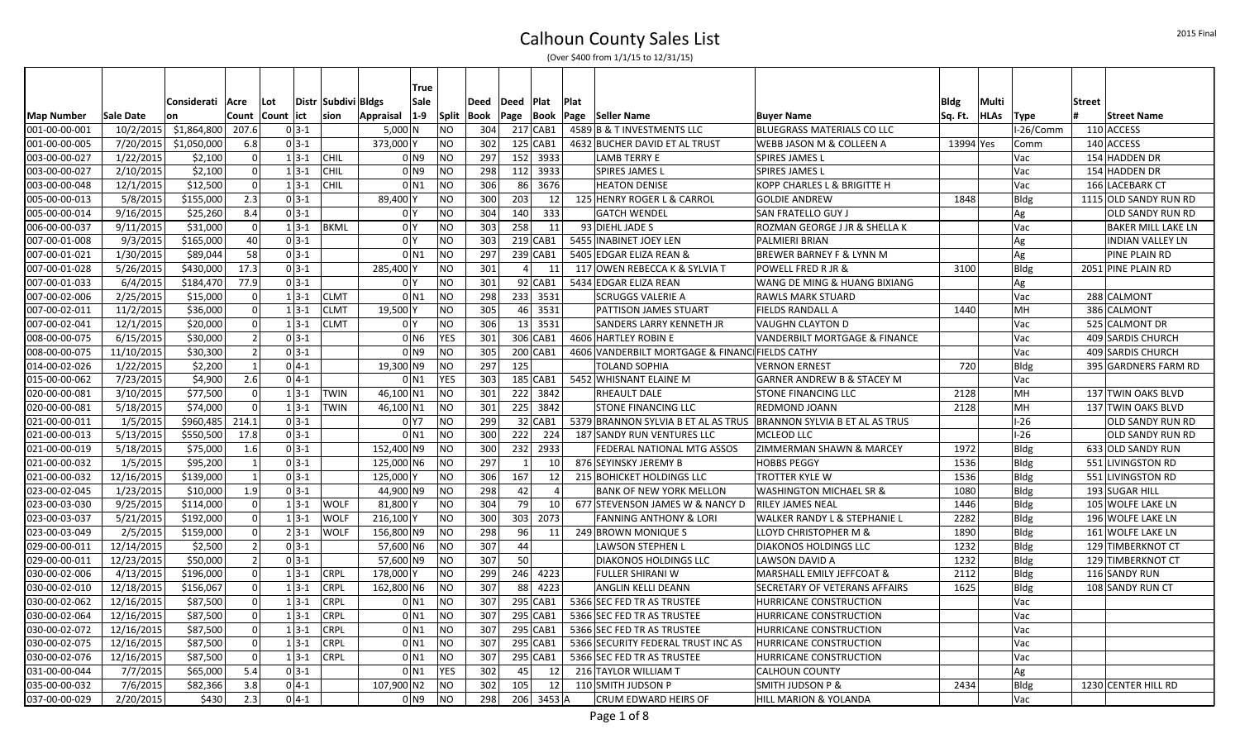|                   |            |                   |                |       |                      |                      |                | True               |                |      |                |                 |      |                                                                    |                                         |           |             |             |               |                         |
|-------------------|------------|-------------------|----------------|-------|----------------------|----------------------|----------------|--------------------|----------------|------|----------------|-----------------|------|--------------------------------------------------------------------|-----------------------------------------|-----------|-------------|-------------|---------------|-------------------------|
|                   |            | Considerati  Acre |                | Lot   |                      | Distr  Subdivi Bldgs |                | Sale               |                | Deed | Deed Plat      |                 | Plat |                                                                    |                                         | Bldg      | Multi       |             | <b>Street</b> |                         |
| <b>Map Number</b> | Sale Date  | lon               | Count          | Count | lict                 | sion                 | Appraisal      | $1-9$              | Split          | Book | Page           | Book            |      | Page Seller Name                                                   | <b>Buyer Name</b>                       | Sq. Ft.   | <b>HLAs</b> | Type        |               | <b>Street Name</b>      |
| 001-00-00-001     | 10/2/2015  | \$1,864,800       | 207.6          |       | $0 3-1$              |                      | $5,000$ N      |                    | <b>NO</b>      | 304  |                | 217 CAB1        |      | 4589 B & T INVESTMENTS LLC                                         | BLUEGRASS MATERIALS CO LLC              |           |             | I-26/Comm   |               | 110 ACCESS              |
| 001-00-00-005     | 7/20/2015  | \$1,050,000       | 6.8            |       | $0 \, 3 - 1$         |                      | 373,000 Y      |                    | NO.            | 302  |                | 125 CAB1        |      | 4632 BUCHER DAVID ET AL TRUST                                      | IWEBB JASON M & COLLEEN A               | 13994 Yes |             | Comm        |               | 140 ACCESS              |
| 003-00-00-027     | 1/22/2015  | \$2,100           | $\overline{0}$ |       | $1 3-1$              | CHIL                 |                | 0 <sub>N9</sub>    | NO             | 297  |                | 152 3933        |      | <b>LAMB TERRY E</b>                                                | <b>SPIRES JAMES L</b>                   |           |             | Vac         |               | 154 HADDEN DR           |
| 003-00-00-027     | 2/10/2015  | \$2,100           | $\overline{0}$ |       | $1 \overline{3} - 1$ | CHIL                 |                | 0 <sub>N9</sub>    | NO.            | 298  |                | 112 3933        |      | <b>SPIRES JAMES L</b>                                              | <b>SPIRES JAMES L</b>                   |           |             | Vac         |               | 154 HADDEN DR           |
| 003-00-00-048     | 12/1/2015  | \$12,500          | $\overline{0}$ |       | $1 \overline{3} - 1$ | CHIL                 |                | $0$ N <sub>1</sub> | <b>NO</b>      | 306  | 86 I           | 3676            |      | <b>HEATON DENISE</b>                                               | KOPP CHARLES L & BRIGITTE H             |           |             | Vac         |               | 166 LACEBARK CT         |
| 005-00-00-013     | 5/8/2015   | \$155,000         | 2.3            |       | $0 3-1$              |                      | 89,400 Y       |                    | NO.            | 300  | 203            | 12              |      | 125 HENRY ROGER L & CARROL                                         | <b>GOLDIE ANDREW</b>                    | 1848      |             | <b>Bldg</b> |               | 1115 OLD SANDY RUN RD   |
| 005-00-00-014     | 9/16/2015  | \$25,260          | 8.4            |       | $0 3-1$              |                      | 0 <sup>1</sup> |                    | <b>NO</b>      | 304  | 140            | 333             |      | <b>GATCH WENDEL</b>                                                | <b>SAN FRATELLO GUY J</b>               |           |             | Ag          |               | lOLD SANDY RUN RD       |
| 006-00-00-037     | 9/11/2015  | \$31,000          | $\overline{0}$ |       | $1 3-1$              | <b>BKML</b>          | 0 <sup>1</sup> |                    | <b>NO</b>      | 303  | 258            | 11              |      | 93 DIEHL JADE S                                                    | ROZMAN GEORGE J JR & SHELLA K           |           |             | Vac         |               | BAKER MILL LAKE LN      |
| 007-00-01-008     | 9/3/2015   | \$165,000         | 40             |       | $0 3-1$              |                      | 0 <sup>1</sup> |                    | <b>NO</b>      | 303  |                | $219$ CAB1      |      | 5455 INABINET JOEY LEN                                             | <b>PALMIERI BRIAN</b>                   |           |             | Ag          |               | <b>INDIAN VALLEY LN</b> |
| 007-00-01-021     | 1/30/2015  | \$89,044          | 58             |       | $0 3-1$              |                      |                | $0$ N1             | <b>NO</b>      | 297  |                | $239$ CAB1      |      | 5405 EDGAR ELIZA REAN &                                            | <b>BREWER BARNEY F &amp; LYNN M</b>     |           |             | Ag          |               | PINE PLAIN RD           |
| 007-00-01-028     | 5/26/2015  | \$430,000         | 17.3           |       | $0 3-1$              |                      | 285,400 Y      |                    | <b>NO</b>      | 301  | $\overline{4}$ | 11              |      | 117 OWEN REBECCA K & SYLVIA T                                      | POWELL FRED R JR &                      | 3100      |             | <b>Bldg</b> |               | 2051 PINE PLAIN RD      |
| 007-00-01-033     | 6/4/2015   | \$184,470         | 77.9           |       | $0 3-1$              |                      | 0 <sup>1</sup> |                    | <b>NO</b>      | 301  |                | $92$ CAB1       |      | 5434 EDGAR ELIZA REAN                                              | <b>WANG DE MING &amp; HUANG BIXIANG</b> |           |             | Ag          |               |                         |
| 007-00-02-006     | 2/25/2015  | \$15,000          | $\overline{0}$ |       | $1 3-1 $             | <b>CLMT</b>          |                | 0 <sub>N1</sub>    | <b>NO</b>      | 298  |                | 233 3531        |      | <b>SCRUGGS VALERIE A</b>                                           | <b>RAWLS MARK STUARD</b>                |           |             | Vac         |               | 288 CALMONT             |
| 007-00-02-011     | 11/2/2015  | \$36,000          | $\overline{0}$ |       | $1 3-1$              | <b>CLMT</b>          | 19,500 Y       |                    | <b>NO</b>      | 305  |                | 46 3531         |      | PATTISON JAMES STUART                                              | <b>FIELDS RANDALL A</b>                 | 1440      |             | MH          |               | 386 CALMONT             |
| 007-00-02-041     | 12/1/2015  | \$20,000          | $\overline{0}$ |       | $1 3-1$              | <b>CLMT</b>          | 0 <sup>1</sup> |                    | <b>NO</b>      | 306  |                | $13 \mid 3531$  |      | SANDERS LARRY KENNETH JR                                           | VAUGHN CLAYTON D                        |           |             | Vac         |               | 525 CALMONT DR          |
| 008-00-00-075     | 6/15/2015  | \$30,000          | $\overline{2}$ |       | $0 3-1$              |                      |                | 0 N <sub>6</sub>   | YES            | 301  |                | 306 CAB1        |      | 4606 HARTLEY ROBIN E                                               | VANDERBILT MORTGAGE & FINANCE           |           |             | Vac         |               | 409 SARDIS CHURCH       |
| 008-00-00-075     | 11/10/2015 | \$30,300          | $\vert$ 2      |       | $0 3-1$              |                      |                | 0 <sub>N9</sub>    | <b>NO</b>      | 305  |                | 200 CAB1        |      | 4606 VANDERBILT MORTGAGE & FINANCIFIELDS CATHY                     |                                         |           |             | Vac         |               | 409 SARDIS CHURCH       |
| 014-00-02-026     | 1/22/2015  | \$2,200           | $\mathbf{1}$   |       | $0 4-1 $             |                      | 19,300 N9      |                    | <b>NO</b>      | 297  | 125            |                 |      | <b>TOLAND SOPHIA</b>                                               | <b>VERNON ERNEST</b>                    | 720       |             | <b>Bldg</b> |               | 395 GARDNERS FARM RD    |
| 015-00-00-062     | 7/23/2015  | \$4,900           | 2.6            |       | $0 4-1 $             |                      |                | 0 <sub>N1</sub>    | <b>YES</b>     | 303  |                | 185 CAB1        |      | 5452 WHISNANT ELAINE M                                             | <b>GARNER ANDREW B &amp; STACEY M</b>   |           |             | Vac         |               |                         |
| 020-00-00-081     | 3/10/2015  | \$77,500          | $\overline{0}$ |       | $1 \, 3 - 1$         | <b>TWIN</b>          | 46,100 N1      |                    | <b>NO</b>      | 301  |                | 222 3842        |      | <b>RHEAULT DALE</b>                                                | <b>STONE FINANCING LLC</b>              | 2128      |             | MH          |               | 137 TWIN OAKS BLVD      |
| 020-00-00-081     | 5/18/2015  | \$74,000          | $\overline{0}$ |       | $1 3-1$              | TWIN                 | 46,100 N1      |                    | <b>NO</b>      | 301  |                | 225 3842        |      | <b>STONE FINANCING LLC</b>                                         | <b>REDMOND JOANN</b>                    | 2128      |             | MH          |               | 137 TWIN OAKS BLVD      |
| 021-00-00-011     | 1/5/2015   | \$960,485 214.1   |                |       | $0 3-1$              |                      |                | 0 <sub>Y7</sub>    | <b>NO</b>      | 299  |                | 32 CAB1         |      | 5379 BRANNON SYLVIA B ET AL AS TRUS BRANNON SYLVIA B ET AL AS TRUS |                                         |           |             | $I-26$      |               | OLD SANDY RUN RD        |
| 021-00-00-013     | 5/13/2015  | \$550,500         | 17.8           |       | $0 3-1$              |                      |                | 0 <sub>N1</sub>    | <b>NO</b>      | 300  | 222            | 224             |      | 187 SANDY RUN VENTURES LLC                                         | <b>MCLEOD LLC</b>                       |           |             | $I-26$      |               | OLD SANDY RUN RD        |
| 021-00-00-019     | 5/18/2015  | \$75,000          | 1.6            |       | $0 3-1 $             |                      | 152,400 N9     |                    | N <sub>O</sub> | 300  |                | 232 2933        |      | FEDERAL NATIONAL MTG ASSOS                                         | <b>ZIMMERMAN SHAWN &amp; MARCEY</b>     | 1972      |             | Bldg        |               | 633 OLD SANDY RUN       |
| 021-00-00-032     | 1/5/2015   | \$95,200          | $\mathbf{1}$   |       | $0 \, 3 - 1$         |                      | 125,000 N6     |                    | <b>NO</b>      | 297  | $\vert$ 1      | 10 <sup>1</sup> |      | 876 SEYINSKY JEREMY B                                              | <b>HOBBS PEGGY</b>                      | 1536      |             | <b>Bldg</b> |               | 551 LIVINGSTON RD       |
| 021-00-00-032     | 12/16/2015 | \$139,000         | $\mathbf{1}$   |       | $0 3-1 $             |                      | 125.000 Y      |                    | <b>NO</b>      | 306  | 167            | 12              |      | 215 BOHICKET HOLDINGS LLC                                          | <b>TROTTER KYLE W</b>                   | 1536      |             | Bldg        |               | 551 LIVINGSTON RD       |
| 023-00-02-045     | 1/23/2015  | \$10,000          | 1.9            |       | $0 3-1 $             |                      | 44,900 N9      |                    | <b>NO</b>      | 298  | 42             | $\overline{4}$  |      | <b>BANK OF NEW YORK MELLON</b>                                     | <b>WASHINGTON MICHAEL SR &amp;</b>      | 1080      |             | <b>Bldg</b> |               | 193 SUGAR HILL          |
| 023-00-03-030     | 9/25/2015  | \$114,000         | 0              |       | $1 3-1$              | <b>WOLF</b>          | 81,800 Y       |                    | <b>NO</b>      | 304  | 79             | 10              |      | 677 STEVENSON JAMES W & NANCY D                                    | <b>RILEY JAMES NEAL</b>                 | 1446      |             | <b>Bldg</b> |               | 105 WOLFE LAKE LN       |
| 023-00-03-037     | 5/21/2015  | \$192,000         | $\overline{0}$ |       | $1 3-1$              | <b>WOLF</b>          | 216,100 Y      |                    | <b>NO</b>      | 300  | 303            | 2073            |      | <b>FANNING ANTHONY &amp; LORI</b>                                  | WALKER RANDY L & STEPHANIE L            | 2282      |             | <b>Bldg</b> |               | 196 WOLFE LAKE LN       |
| 023-00-03-049     | 2/5/2015   | \$159,000         | 0              |       | $2 3-1$              | <b>WOLF</b>          | 156,800 N9     |                    | <b>NO</b>      | 298  | 96             | 11              |      | 249 BROWN MONIQUE S                                                | <b>LLOYD CHRISTOPHER M &amp;</b>        | 1890      |             | <b>Bldg</b> |               | 161 WOLFE LAKE LN       |
| 029-00-00-011     | 12/14/2015 | \$2,500           | $\overline{2}$ |       | $0 3-1$              |                      | 57,600 N6      |                    | <b>NO</b>      | 307  | 44             |                 |      | <b>LAWSON STEPHEN L</b>                                            | DIAKONOS HOLDINGS LLC                   | 1232      |             | <b>Bldg</b> |               | 129 TIMBERKNOT CT       |
| 029-00-00-011     | 12/23/2015 | \$50,000          | $\overline{2}$ |       | $0 3-1$              |                      | 57,600 N9      |                    | <b>NO</b>      | 307  | <b>50</b>      |                 |      | <b>DIAKONOS HOLDINGS LLC</b>                                       | LAWSON DAVID A                          | 1232      |             | Bldg        |               | 129 TIMBERKNOT CT       |
| 030-00-02-006     | 4/13/2015  | \$196,000         | 0              |       | $1 3-1$              | <b>CRPL</b>          | 178,000 Y      |                    | <b>NO</b>      | 299  |                | 246 4223        |      | <b>FULLER SHIRANI W</b>                                            | MARSHALL EMILY JEFFCOAT &               | 2112      |             | Bldg        |               | 116 SANDY RUN           |
| 030-00-02-010     | 12/18/2015 | \$156,067         | 0              |       | $1 3-1$              | <b>CRPL</b>          | 162,800 N6     |                    | <b>NO</b>      | 307  |                | 88 4223         |      | <b>ANGLIN KELLI DEANN</b>                                          | <b>SECRETARY OF VETERANS AFFAIRS</b>    | 1625      |             | Bldg        |               | 108 SANDY RUN CT        |
| 030-00-02-062     | 12/16/2015 | \$87,500          | $\overline{0}$ |       | $1 \overline{3} - 1$ | <b>CRPL</b>          |                | 0 <sub>N1</sub>    | <b>NO</b>      | 307  |                | 295 CAB1        |      | 5366 SEC FED TR AS TRUSTEE                                         | <b>HURRICANE CONSTRUCTION</b>           |           |             | Vac         |               |                         |
| 030-00-02-064     | 12/16/2015 | \$87,500          | $\overline{0}$ |       | $1 \overline{3} - 1$ | <b>CRPL</b>          |                | 0 <sub>N1</sub>    | <b>NO</b>      | 307  |                | 295 CAB1        |      | 5366 SEC FED TR AS TRUSTEE                                         | <b>HURRICANE CONSTRUCTION</b>           |           |             | Vac         |               |                         |
| 030-00-02-072     | 12/16/2015 | \$87,500          | $\overline{0}$ |       | $1 \overline{3-1}$   | <b>CRPL</b>          |                | $0$ N <sub>1</sub> | <b>NO</b>      | 307  |                | 295 CAB1        |      | 5366 SEC FED TR AS TRUSTEE                                         | <b>HURRICANE CONSTRUCTION</b>           |           |             | Vac         |               |                         |
| 030-00-02-075     | 12/16/2015 | \$87,500          | $\overline{0}$ |       | $1 3-1$              | <b>CRPL</b>          |                | 0 <sub>N1</sub>    | <b>NO</b>      | 307  |                | 295 CAB1        |      | 5366 SECURITY FEDERAL TRUST INC AS                                 | <b>HURRICANE CONSTRUCTION</b>           |           |             | Vac         |               |                         |
| 030-00-02-076     | 12/16/2015 | \$87,500          | $\overline{0}$ |       | $1 \overline{3} - 1$ | <b>CRPL</b>          |                | 0 <sub>N1</sub>    | <b>NO</b>      | 307  |                | 295 CAB1        |      | 5366 SEC FED TR AS TRUSTEE                                         | <b>HURRICANE CONSTRUCTION</b>           |           |             | Vac         |               |                         |
| 031-00-00-044     | 7/7/2015   | \$65,000          | 5.4            |       | $0 3-1$              |                      |                | 0 <sub>N1</sub>    | <b>YES</b>     | 302  | 45             | 12              |      | 216 TAYLOR WILLIAM T                                               | <b>CALHOUN COUNTY</b>                   |           |             | Ag          |               |                         |
| 035-00-00-032     | 7/6/2015   | \$82,366          | 3.8            |       | $0 4-1 $             |                      | 107,900 N2     |                    | <b>NO</b>      | 302  | 105            | 12              |      | 110 SMITH JUDSON P                                                 | SMITH JUDSON P &                        | 2434      |             | Bldg        |               | 1230 CENTER HILL RD     |
| 037-00-00-029     | 2/20/2015  | \$430             | 2.3            |       | $0 4-1 $             |                      |                | 0 N <sub>9</sub>   | <b>NO</b>      | 298  |                | 206 3453 A      |      | <b>CRUM EDWARD HEIRS OF</b>                                        | HILL MARION & YOLANDA                   |           |             | <b>Vac</b>  |               |                         |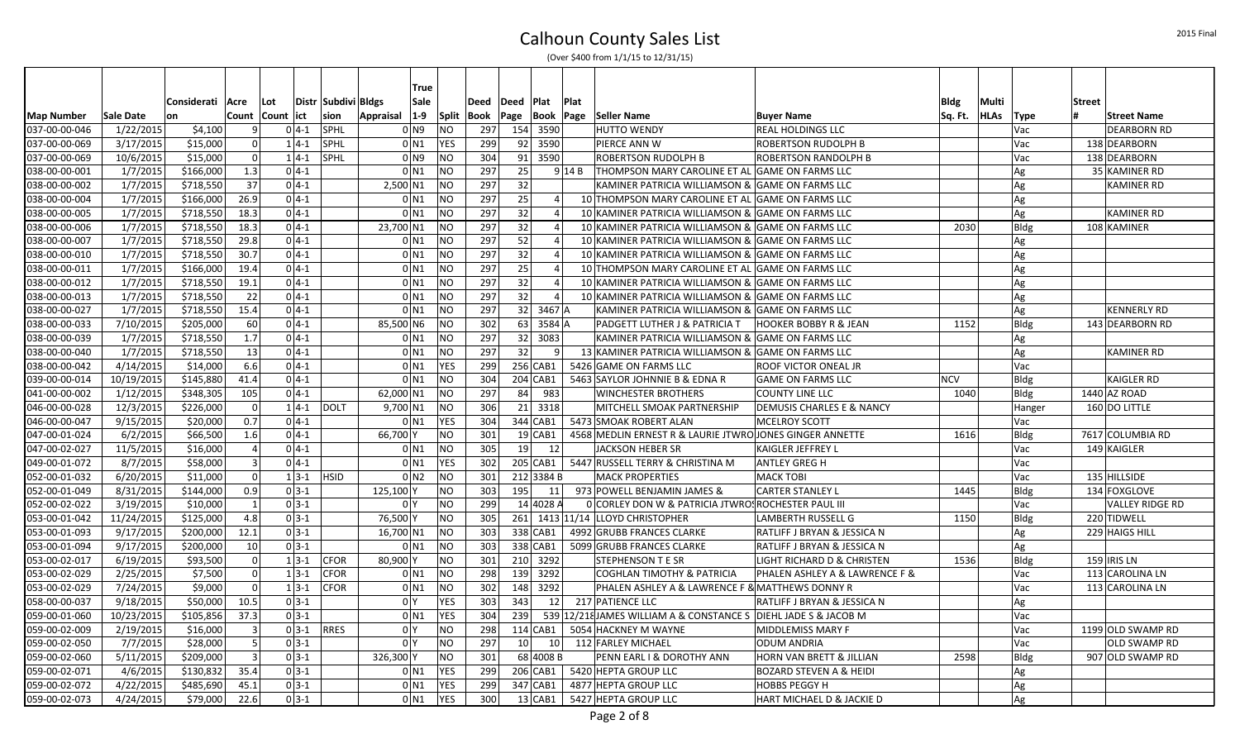|                   |            |             |                  |     |                    |                         |                    | True               |                |     |                       |                 |                |                                                                 |                                        |             |           |             |               |                        |
|-------------------|------------|-------------|------------------|-----|--------------------|-------------------------|--------------------|--------------------|----------------|-----|-----------------------|-----------------|----------------|-----------------------------------------------------------------|----------------------------------------|-------------|-----------|-------------|---------------|------------------------|
|                   |            | Considerati | Acre             | Lot |                    | Distr   Subdivi   Bldgs |                    | Sale               | Deed           |     | Deed Plat             |                 | <b>Plat</b>    |                                                                 |                                        | <b>Bldg</b> | Multi     |             | <b>Street</b> |                        |
| <b>Map Number</b> | Sale Date  | on          | Count Count lict |     |                    | sion                    | <b>Appraisal</b>   | $1-9$              | Split<br>Book  |     |                       |                 | Page Book Page | Seller Name                                                     | <b>Buyer Name</b>                      | Sq. Ft.     | HLAs Type |             |               | <b>Street Name</b>     |
| 037-00-00-046     | 1/22/2015  | \$4,100     | -9               |     | $0 4-1$            | SPHL                    |                    | 0 N9               | N <sub>O</sub> | 297 | 154 3590              |                 |                | <b>HUTTO WENDY</b>                                              | <b>REAL HOLDINGS LLC</b>               |             |           | Vac         |               | <b>DEARBORN RD</b>     |
| 037-00-00-069     | 3/17/2015  | \$15,000    | $\Omega$         |     | $1 4-1$            | SPHL                    | 0 <sub>N1</sub>    |                    | <b>YES</b>     | 299 | 92 3590               |                 |                | PIERCE ANN W                                                    | <b>ROBERTSON RUDOLPH B</b>             |             |           | Vac         |               | 138 DEARBORN           |
| 037-00-00-069     | 10/6/2015  | \$15,000    | $\Omega$         |     | $1 4-1$            | SPHL                    | 0 <sub>N9</sub>    |                    | <b>NO</b>      | 304 | 91 3590               |                 |                | ROBERTSON RUDOLPH B                                             | <b>ROBERTSON RANDOLPH B</b>            |             |           | Vac         |               | 138 DEARBORN           |
| 038-00-00-001     | 1/7/2015   | \$166,000   | 1.3              |     | $0 4-1$            |                         |                    | 0 <sub>N1</sub>    | <b>NO</b>      | 297 | 25                    |                 | $9$ 14 B       | THOMPSON MARY CAROLINE ET AL GAME ON FARMS LLC                  |                                        |             |           | Ag          |               | 35 KAMINER RD          |
| 038-00-00-002     | 1/7/2015   | \$718,550   | 37               |     | $0 4-1$            |                         | 2,500 N1           |                    | <b>NO</b>      | 297 | 32                    |                 |                | KAMINER PATRICIA WILLIAMSON & GAME ON FARMS LLC                 |                                        |             |           | Ag          |               | <b>KAMINER RD</b>      |
| 038-00-00-004     | 1/7/2015   | \$166,000   | 26.9             |     | $0 4-1$            |                         | $0$ N1             |                    | <b>NO</b>      | 297 | 25                    |                 | $\vert$        | 10 THOMPSON MARY CAROLINE ET AL GAME ON FARMS LLC               |                                        |             |           | Ag          |               |                        |
| 038-00-00-005     | 1/7/2015   | \$718,550   | 18.3             |     | $0 4-1$            |                         | $0$ N1             |                    | <b>NO</b>      | 297 | 32                    |                 | 4 <sup>1</sup> | 10 KAMINER PATRICIA WILLIAMSON & GAME ON FARMS LLC              |                                        |             |           | Ag          |               | <b>KAMINER RD</b>      |
| 038-00-00-006     | 1/7/2015   | \$718,550   | 18.3             |     | $0 4-1$            |                         | 23,700 N1          |                    | <b>NO</b>      | 297 | 32                    |                 | $\vert$        | 10 KAMINER PATRICIA WILLIAMSON & GAME ON FARMS LLC              |                                        | 2030        |           | Bldg        |               | 108 KAMINER            |
| 038-00-00-007     | 1/7/2015   | \$718,550   | 29.8             |     | $0 4-1$            |                         | $0$ N1             |                    | <b>NO</b>      | 297 | 52                    |                 | $\vert$        | 10 KAMINER PATRICIA WILLIAMSON & GAME ON FARMS LLC              |                                        |             |           | Ag          |               |                        |
| 038-00-00-010     | 1/7/2015   | \$718,550   | 30.7             |     | $0 4-1$            |                         |                    | $0$ N <sub>1</sub> | <b>NO</b>      | 297 | 32                    |                 | 4 <sup>1</sup> | 10 KAMINER PATRICIA WILLIAMSON & GAME ON FARMS LLC              |                                        |             |           | Ag          |               |                        |
| 038-00-00-011     | 1/7/2015   | \$166,000   | 19.4             |     | $0 4-1$            |                         | $0$ N1             |                    | <b>NO</b>      | 297 | 25                    |                 | $\vert$        | 10 THOMPSON MARY CAROLINE ET AL GAME ON FARMS LLC               |                                        |             |           | Ag          |               |                        |
| 038-00-00-012     | 1/7/2015   | \$718,550   | 19.1             |     | $0 4-1$            |                         |                    | $0$ N <sub>1</sub> | <b>NO</b>      | 297 | 32                    |                 | $\vert$        | 10 KAMINER PATRICIA WILLIAMSON & GAME ON FARMS LLC              |                                        |             |           | Ag          |               |                        |
| 038-00-00-013     | 1/7/2015   | \$718,550   | 22               |     | $0 4-1$            |                         | $0$ N1             |                    | <b>NO</b>      | 297 | 32                    |                 | $\overline{4}$ | 10 KAMINER PATRICIA WILLIAMSON & GAME ON FARMS LLC              |                                        |             |           | Ag          |               |                        |
| 038-00-00-027     | 1/7/2015   | \$718,550   | 15.4             |     | $0 4-1$            |                         | $0$ N1             |                    | <b>NO</b>      | 297 | $32 \mid 3467 \mid A$ |                 |                | KAMINER PATRICIA WILLIAMSON & GAME ON FARMS LLC                 |                                        |             |           | Ag          |               | <b>KENNERLY RD</b>     |
| 038-00-00-033     | 7/10/2015  | \$205,000   | 60               |     | $0 4-1$            |                         | 85,500 N6          |                    | <b>NO</b>      | 302 | 63 3584 A             |                 |                | PADGETT LUTHER J & PATRICIA T                                   | <b>HOOKER BOBBY R &amp; JEAN</b>       | 1152        |           | Bldg        |               | 143 DEARBORN RD        |
| 038-00-00-039     | 1/7/2015   | \$718,550   | 1.7              |     | $0 4-1$            |                         |                    | $0$ N <sub>1</sub> | <b>NO</b>      | 297 | 32 3083               |                 |                | KAMINER PATRICIA WILLIAMSON & GAME ON FARMS LLC                 |                                        |             |           | Ag          |               |                        |
| 038-00-00-040     | 1/7/2015   | \$718,550   | 13               |     | $0 4-1$            |                         |                    | $0$ N <sub>1</sub> | <b>NO</b>      | 297 | 32                    |                 | -91            | 13 KAMINER PATRICIA WILLIAMSON & GAME ON FARMS LLC              |                                        |             |           | Ag          |               | KAMINER RD             |
| 038-00-00-042     | 4/14/2015  | \$14,000    | 6.6              |     | $0 4-1$            |                         | $0$ N1             |                    | <b>YES</b>     | 299 | 256 CAB1              |                 |                | 5426 GAME ON FARMS LLC                                          | <b>ROOF VICTOR ONEAL JR</b>            |             |           | Vac         |               |                        |
| 039-00-00-014     | 10/19/2015 | \$145,880   | 41.4             |     | $0 4-1$            |                         | 0 <sub>N1</sub>    |                    | <b>NO</b>      | 304 | $204$ CAB1            |                 |                | 5463 SAYLOR JOHNNIE B & EDNA R                                  | <b>GAME ON FARMS LLC</b>               | <b>NCV</b>  |           | Bldg        |               | <b>KAIGLER RD</b>      |
| 041-00-00-002     | 1/12/2015  | \$348,305   | 105              |     | $0 4-1$            |                         | 62,000 N1          |                    | <b>NO</b>      | 297 | 84                    | 983             |                | <b>WINCHESTER BROTHERS</b>                                      | <b>COUNTY LINE LLC</b>                 | 1040        |           | Bldg        |               | 1440 AZ ROAD           |
| 046-00-00-028     | 12/3/2015  | \$226,000   | $\mathbf 0$      |     | $1 4-1$            | DOLT                    | 9,700 N1           |                    | <b>NO</b>      | 306 | 21 3318               |                 |                | MITCHELL SMOAK PARTNERSHIP                                      | <b>DEMUSIS CHARLES E &amp; NANCY</b>   |             |           | Hanger      |               | 160 DO LITTLE          |
| 046-00-00-047     | 9/15/2015  | \$20,000    | 0.7              |     | $0 4-1$            |                         | 0 <sub>N1</sub>    |                    | <b>YES</b>     | 304 | $344$ CAB1            |                 |                | 5473 SMOAK ROBERT ALAN                                          | <b>MCELROY SCOTT</b>                   |             |           | Vac         |               |                        |
| 047-00-01-024     | 6/2/2015   | \$66,500    | 1.6              |     | $0 4-1$            |                         | 66,700 Y           |                    | <b>NO</b>      | 301 | $19$ CAB1             |                 |                | 4568 MEDLIN ERNEST R & LAURIE JTWRO JONES GINGER ANNETTE        |                                        | 1616        |           | Bldg        |               | 7617 COLUMBIA RD       |
| 047-00-02-027     | 11/5/2015  | \$16,000    | $\overline{4}$   |     | $0 4-1$            |                         | $0$ N1             |                    | <b>NO</b>      | 305 | 19                    | 12              |                | <b>JACKSON HEBER SR</b>                                         | KAIGLER JEFFREY L                      |             |           | Vac         |               | 149 KAIGLER            |
| 049-00-01-072     | 8/7/2015   | \$58,000    | $\vert$ 3        |     | $0 4-1$            |                         | $0$ N <sub>1</sub> |                    | <b>YES</b>     | 302 |                       |                 |                | 205 CAB1   5447 RUSSELL TERRY & CHRISTINA M                     | <b>ANTLEY GREG H</b>                   |             |           | Vac         |               |                        |
| 052-00-01-032     | 6/20/2015  | \$11,000    | $\Omega$         |     | $1 3-1$            | <b>HSID</b>             |                    | 0 <sub>N2</sub>    | <b>NO</b>      | 301 | 212 3384 B            |                 |                | <b>MACK PROPERTIES</b>                                          | <b>MACK TOBI</b>                       |             |           | Vac         |               | 135 HILLSIDE           |
| 052-00-01-049     | 8/31/2015  | \$144,000   | 0.9              |     | $0 3-1$            |                         | 125,100 Y          |                    | <b>NO</b>      | 303 | 195                   | 11              |                | 973 POWELL BENJAMIN JAMES &                                     | <b>CARTER STANLEY L</b>                | 1445        |           | Bldg        |               | 134 FOXGLOVE           |
| 052-00-02-022     | 3/19/2015  | \$10,000    | $\mathbf{1}$     |     | $0 3-1$            |                         | 0 <sup>1</sup>     |                    | <b>NO</b>      | 299 | 14 4028 A             |                 |                | 0 CORLEY DON W & PATRICIA JTWROS ROCHESTER PAUL III             |                                        |             |           | Vac         |               | <b>VALLEY RIDGE RD</b> |
| 053-00-01-042     | 11/24/2015 | \$125,000   | 4.8              |     | $0 3-1$            |                         | 76,500 Y           |                    | <b>NO</b>      | 305 |                       |                 |                | 261 1413 11/14 LLOYD CHRISTOPHER                                | LAMBERTH RUSSELL G                     | 1150        |           | Bldg        |               | 220 TIDWELL            |
| 053-00-01-093     | 9/17/2015  | \$200,000   | 12.1             |     | $0 3-1$            |                         | 16,700 N1          |                    | <b>NO</b>      | 303 | 338 CAB1              |                 |                | 4992 GRUBB FRANCES CLARKE                                       | RATLIFF J BRYAN & JESSICA N            |             |           | Ag          |               | 229 HAIGS HILL         |
| 053-00-01-094     | 9/17/2015  | \$200,000   | 10               |     | $0 3-1$            |                         | $0$ N1             |                    | <b>NO</b>      | 303 | 338 CAB1              |                 |                | 5099 GRUBB FRANCES CLARKE                                       | RATLIFF J BRYAN & JESSICA N            |             |           | Ag          |               |                        |
| 053-00-02-017     | 6/19/2015  | \$93,500    | $\mathbf 0$      |     | $1 \overline{3-1}$ | <b>CFOR</b>             | 80,900 Y           |                    | <b>NO</b>      | 301 | 210 3292              |                 |                | <b>STEPHENSON T E SR</b>                                        | LIGHT RICHARD D & CHRISTEN             | 1536        |           | <b>Bldg</b> |               | 159 IRIS LN            |
| 053-00-02-029     | 2/25/2015  | \$7,500     | 0                |     | $1 3-1$            | <b>CFOR</b>             | $0$ N1             |                    | N <sub>O</sub> | 298 | 139 3292              |                 |                | <b>COGHLAN TIMOTHY &amp; PATRICIA</b>                           | PHALEN ASHLEY A & LAWRENCE F &         |             |           | Vac         |               | 113 CAROLINA LN        |
| 053-00-02-029     | 7/24/2015  | \$9,000     | $\Omega$         |     | $1 3-1$            | <b>CFOR</b>             | $0$ N1             |                    | <b>NO</b>      | 302 | 148 3292              |                 |                | PHALEN ASHLEY A & LAWRENCE F & MATTHEWS DONNY R                 |                                        |             |           | Vac         |               | 113 CAROLINA LN        |
| 058-00-00-037     | 9/18/2015  | \$50,000    | 10.5             |     | $0 3-1$            |                         | 0 <sup>1</sup>     |                    | <b>YES</b>     | 303 | 343                   | 12              |                | 217 PATIENCE LLC                                                | <b>RATLIFF J BRYAN &amp; JESSICA N</b> |             |           | Ag          |               |                        |
| 059-00-01-060     | 10/23/2015 | \$105,856   | 37.3             |     | $0 3-1$            |                         | $0$ N1             |                    | <b>YES</b>     | 304 | 239                   |                 |                | 539 12/218 JAMES WILLIAM A & CONSTANCE S DIEHL JADE S & JACOB M |                                        |             |           | Vac         |               |                        |
| 059-00-02-009     | 2/19/2015  | \$16,000    | $\vert$ 3        |     | $0 3-1$            | <b>RRES</b>             | 0Y                 |                    | <b>NO</b>      | 298 | $114$ CAB1            |                 |                | 5054 HACKNEY M WAYNE                                            | <b>MIDDLEMISS MARY F</b>               |             |           | Vac         |               | 1199 OLD SWAMP RD      |
| 059-00-02-050     | 7/7/2015   | \$28,000    | 5                |     | $0 3-1$            |                         | 0 <sup>N</sup>     |                    | <b>NO</b>      | 297 | 10 <sup>1</sup>       | 10 <sup>1</sup> |                | 112 FARLEY MICHAEL                                              | <b>ODUM ANDRIA</b>                     |             |           | Vac         |               | OLD SWAMP RD           |
| 059-00-02-060     | 5/11/2015  | \$209,000   | $\overline{3}$   |     | $0 3-1$            |                         | 326,300 Y          |                    | <b>NO</b>      | 301 | 68 4008 B             |                 |                | PENN EARL I & DOROTHY ANN                                       | <b>HORN VAN BRETT &amp; JILLIAN</b>    | 2598        |           | Bldg        |               | 907 OLD SWAMP RD       |
| 059-00-02-071     | 4/6/2015   | \$130,832   | 35.4             |     | $0 3-1$            |                         | $0$ N1             |                    | <b>YES</b>     | 299 | 206 CAB1              |                 |                | 5420 HEPTA GROUP LLC                                            | <b>BOZARD STEVEN A &amp; HEIDI</b>     |             |           | Ag          |               |                        |
| 059-00-02-072     | 4/22/2015  | \$485,690   | 45.1             |     | $0 3-1$            |                         | $0$ N1             |                    | <b>YES</b>     | 299 | 347 CAB1              |                 |                | 4877 HEPTA GROUP LLC                                            | <b>HOBBS PEGGY H</b>                   |             |           | Ag          |               |                        |
| 059-00-02-073     | 4/24/2015  | \$79,000    | 22.6             |     | $0 3-1$            |                         |                    | 0 <sub>N1</sub>    | YES            | 300 | $13$ CAB1             |                 |                | 5427 HEPTA GROUP LLC                                            | HART MICHAEL D & JACKIE D              |             |           | Ag          |               |                        |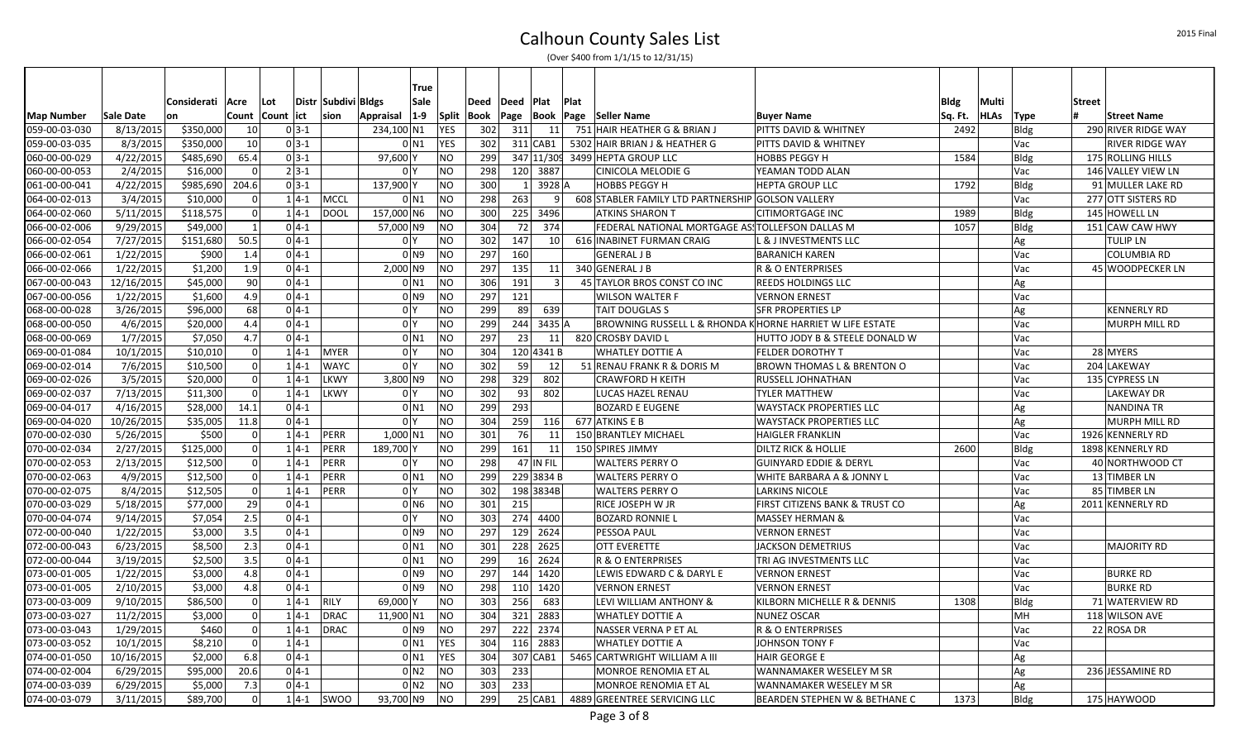|                   |            |                  |                |                     |                     | True                           |                |             |             |                        |                |                                                          |                                       |         |             |      |               |                        |
|-------------------|------------|------------------|----------------|---------------------|---------------------|--------------------------------|----------------|-------------|-------------|------------------------|----------------|----------------------------------------------------------|---------------------------------------|---------|-------------|------|---------------|------------------------|
|                   |            | Considerati Acre |                | Lot                 | Distr Subdivi Bldgs | Sale                           |                | <b>Deed</b> | Deed   Plat |                        | Plat           |                                                          |                                       | Bldg    | Multi       |      | <b>Street</b> |                        |
| <b>Map Number</b> | Sale Date  | lon              |                | Count   Count   ict | sion                | Appraisal   1-9   Split   Book |                |             |             |                        |                | Page  Book  Page  Seller Name                            | <b>Buyer Name</b>                     | Sq. Ft. | <b>HLAs</b> | Type | l#            | <b>Street Name</b>     |
| 059-00-03-030     | 8/13/2015  | \$350,000        | 10             | $0 3-1$             |                     | 234,100 N1                     | <b>YES</b>     | 302         | 311         | 11                     |                | 751 HAIR HEATHER G & BRIAN J                             | <b>PITTS DAVID &amp; WHITNEY</b>      | 2492    |             | Bldg |               | 290 RIVER RIDGE WAY    |
| 059-00-03-035     | 8/3/2015   | \$350,000        | 10             | $0 3-1$             |                     | $0$ N <sub>1</sub>             | <b>YES</b>     | 302         |             | $311$ CAB1             |                | 5302 HAIR BRIAN J & HEATHER G                            | PITTS DAVID & WHITNEY                 |         |             | Vac  |               | <b>RIVER RIDGE WAY</b> |
| 060-00-00-029     | 4/22/2015  | \$485,690        | 65.4           | $0 3-1$             |                     | 97,600 Y                       | <b>NO</b>      | 299         |             |                        |                | 347 11/30 3499 HEPTA GROUP LLC                           | <b>HOBBS PEGGY H</b>                  | 1584    |             | Bldg |               | 175 ROLLING HILLS      |
| 060-00-00-053     | 2/4/2015   | \$16,000         | $\Omega$       | $2 3-1 $            |                     | 0 <sup>Y</sup>                 | <b>NO</b>      | 298         |             | 120 3887               |                | <b>CINICOLA MELODIE G</b>                                | YEAMAN TODD ALAN                      |         |             | Vac  |               | 146 VALLEY VIEW LN     |
| 061-00-00-041     | 4/22/2015  | \$985,690        | 204.6          | $0 3-1$             |                     | 137,900 Y                      | <b>NO</b>      | 300         |             | $1 \vert 3928 \vert A$ |                | <b>HOBBS PEGGY H</b>                                     | <b>HEPTA GROUP LLC</b>                | 1792    |             | Bldg |               | 91 MULLER LAKE RD      |
| 064-00-02-013     | 3/4/2015   | \$10,000         | $\Omega$       | $1 4-1$             | <b>MCCL</b>         | $0$ N <sub>1</sub>             | NO             | 298         | 263         |                        | $\overline{9}$ | 608 STABLER FAMILY LTD PARTNERSHIP GOLSON VALLERY        |                                       |         |             | Vac  |               | 277 OTT SISTERS RD     |
| 064-00-02-060     | 5/11/2015  | \$118,575        | $\Omega$       | $1 4-1$             | <b>DOOL</b>         | 157,000 N6                     | N <sub>O</sub> | 300         |             | 225 3496               |                | <b>ATKINS SHARON T</b>                                   | <b>CITIMORTGAGE INC</b>               | 1989    |             | Bldg |               | 145 HOWELL LN          |
| 066-00-02-006     | 9/29/2015  | \$49,000         | $\overline{1}$ | $04-1$              |                     | 57,000 N9                      | N <sub>O</sub> | 304         | 72          | 374                    |                | FEDERAL NATIONAL MORTGAGE ASSTOLLEFSON DALLAS M          |                                       | 1057    |             | Bldg |               | 151 CAW CAW HWY        |
| 066-00-02-054     | 7/27/2015  | \$151,680        | 50.5           | $0 4-1$             |                     | 0 <sup>Y</sup>                 | NO             | 302         | 147         | 10 <sup>1</sup>        |                | 616 INABINET FURMAN CRAIG                                | L & J INVESTMENTS LLC                 |         |             | Ag   |               | <b>TULIP LN</b>        |
| 066-00-02-061     | 1/22/2015  | \$900            | 1.4            | $0 4-1$             |                     | 0 N9                           | NO             | 297         | 160         |                        |                | <b>GENERAL J B</b>                                       | <b>BARANICH KAREN</b>                 |         |             | Vac  |               | <b>COLUMBIA RD</b>     |
| 066-00-02-066     | 1/22/2015  | \$1,200          | 1.9            | $0 4-1$             |                     | 2,000 N9                       | NO             | 297         | 135         | 11                     |                | 340 GENERAL J B                                          | R & O ENTERPRISES                     |         |             | Vac  |               | 45 WOODPECKER LN       |
| 067-00-00-043     | 12/16/2015 | \$45,000         | 90             | $0 4-1$             |                     | $0$ N <sub>1</sub>             | <b>NO</b>      | 306         | 191         | $\vert$ 3              |                | 45 TAYLOR BROS CONST CO INC                              | <b>REEDS HOLDINGS LLC</b>             |         |             | Ag   |               |                        |
| 067-00-00-056     | 1/22/2015  | \$1,600          | 4.9            | $0 4-1$             |                     | $01$ N <sub>9</sub>            | <b>NO</b>      | 297         | 121         |                        |                | WILSON WALTER F                                          | <b>VERNON ERNEST</b>                  |         |             | Vac  |               |                        |
| 068-00-00-028     | 3/26/2015  | \$96,000         | 68             | $0 4-1$             |                     | 0 <sup>1</sup>                 | NO             | 299         | -89         | 639                    |                | TAIT DOUGLAS S                                           | <b>SFR PROPERTIES LP</b>              |         |             | Ag   |               | <b>KENNERLY RD</b>     |
| 068-00-00-050     | 4/6/2015   | \$20,000         | 4.4            | $0 4-1$             |                     | 0 <sup>1</sup>                 | <b>NO</b>      | 299         | 244         | 3435 A                 |                | BROWNING RUSSELL L & RHONDA KHORNE HARRIET W LIFE ESTATE |                                       |         |             | Vac  |               | MURPH MILL RD          |
| 068-00-00-069     | 1/7/2015   | \$7,050          | 4.7            | $0 4-1$             |                     | 0 <sub>N1</sub>                | NO             | 297         | 23          | 11                     |                | 820 CROSBY DAVID L                                       | HUTTO JODY B & STEELE DONALD W        |         |             | Vac  |               |                        |
| 069-00-01-084     | 10/1/2015  | \$10,010         | $\Omega$       | $1 4-1$             | <b>MYER</b>         | 0 <sup>1</sup>                 | <b>NO</b>      | 304         |             | 120 4341 B             |                | lwhatley dottie a                                        | <b>FELDER DOROTHY T</b>               |         |             | Vac  |               | 28 MYERS               |
| 069-00-02-014     | 7/6/2015   | \$10,500         | $\Omega$       | $1 4-1$             | <b>WAYC</b>         | 0 <sup>1</sup>                 | N <sub>O</sub> | 302         | -59 l       | 12                     |                | 51 RENAU FRANK R & DORIS M                               | <b>BROWN THOMAS L &amp; BRENTON O</b> |         |             | Vac  |               | 204 LAKEWAY            |
| 069-00-02-026     | 3/5/2015   | \$20,000         | $\Omega$       | $1 4-1$             | <b>LKWY</b>         | 3,800 N9                       | <b>NO</b>      | 298         | 329         | 802                    |                | <b>CRAWFORD H KEITH</b>                                  | RUSSELL JOHNATHAN                     |         |             | Vac  |               | 135 CYPRESS LN         |
| 069-00-02-037     | 7/13/2015  | \$11,300         | $\Omega$       | $1 4-1$             | <b>LKWY</b>         | 0 <sup>1</sup>                 | <b>NO</b>      | 302         | 93          | 802                    |                | LUCAS HAZEL RENAU                                        | <b>TYLER MATTHEW</b>                  |         |             | Vac  |               | LAKEWAY DR             |
| 069-00-04-017     | 4/16/2015  | \$28,000         | 14.1           | $0 4-1 $            |                     | $0$ N1                         | N <sub>O</sub> | 299         | 293         |                        |                | BOZARD E EUGENE                                          | <b>WAYSTACK PROPERTIES LLC</b>        |         |             | Ag   |               | <b>NANDINA TR</b>      |
| 069-00-04-020     | 10/26/2015 | \$35,005         | 11.8           | $0 4-1$             |                     | 0 <sup>Y</sup>                 | <b>NO</b>      | 304         | 259         | 116                    |                | 677 ATKINS E B                                           | <b>WAYSTACK PROPERTIES LLC</b>        |         |             | Ag   |               | MURPH MILL RD          |
| 070-00-02-030     | 5/26/2015  | \$500            | $\Omega$       | $1 4-1$             | PERR                | 1,000 N1                       | NO             | 301         | 76 l        | 11                     |                | 150 BRANTLEY MICHAEL                                     | <b>HAIGLER FRANKLIN</b>               |         |             | Vac  |               | 1926 KENNERLY RD       |
| 070-00-02-034     | 2/27/2015  | \$125,000        | $\Omega$       | $1 4-1$             | PERR                | 189,700 Y                      | <b>NO</b>      | 299         | 161         | 11                     |                | 150 SPIRES JIMMY                                         | <b>DILTZ RICK &amp; HOLLIE</b>        | 2600    |             | Bldg |               | 1898 KENNERLY RD       |
| 070-00-02-053     | 2/13/2015  | \$12,500         | $\Omega$       | $1 4-1$             | <b>PERR</b>         | 0 <sup>1</sup>                 | <b>NO</b>      | 298         |             | 47 IN FIL              |                | <b>WALTERS PERRY O</b>                                   | <b>GUINYARD EDDIE &amp; DERYL</b>     |         |             | Vac  |               | 40 NORTHWOOD CT        |
| 070-00-02-063     | 4/9/2015   | \$12,500         | $\Omega$       | $1 4-1$             | PERR                | $0$ N1                         | <b>NO</b>      | 299         |             | 229 3834 B             |                | WALTERS PERRY O                                          | WHITE BARBARA A & JONNY L             |         |             | Vac  |               | 13 TIMBER LN           |
| 070-00-02-075     | 8/4/2015   | \$12,505         | $\mathbf 0$    | $1 4-1$             | PERR                | 0 <sup>1</sup>                 | <b>NO</b>      | 302         |             | 198 3834B              |                | WALTERS PERRY O                                          | <b>LARKINS NICOLE</b>                 |         |             | Vac  |               | 85 TIMBER LN           |
| 070-00-03-029     | 5/18/2015  | \$77,000         | 29             | $04-1$              |                     | $0$ N <sub>6</sub>             | NO             | 301         | 215         |                        |                | RICE JOSEPH W JR                                         | FIRST CITIZENS BANK & TRUST CO        |         |             | Ag   |               | 2011 KENNERLY RD       |
| 070-00-04-074     | 9/14/2015  | \$7,054          | 2.5            | $0 4-1$             |                     | 0 <sup>1</sup>                 | <b>NO</b>      | 303         |             | 274 4400               |                | <b>BOZARD RONNIE L</b>                                   | MASSEY HERMAN &                       |         |             | Vac  |               |                        |
| 072-00-00-040     | 1/22/2015  | \$3,000          | 3.5            | $0 4-1 $            |                     | 0 N9                           | NO             | 297         |             | 129 2624               |                | <b>PESSOA PAUL</b>                                       | <b>VERNON ERNEST</b>                  |         |             | Vac  |               |                        |
| 072-00-00-043     | 6/23/2015  | \$8,500          | 2.3            | $0 4-1$             |                     | 0 <sub>N1</sub>                | N <sub>O</sub> | 301         |             | 228 2625               |                | <b>OTT EVERETTE</b>                                      | <b>JACKSON DEMETRIUS</b>              |         |             | Vac  |               | <b>MAJORITY RD</b>     |
| 072-00-00-044     | 3/19/2015  | \$2,500          | 3.5            | $0 4-1$             |                     | $0$ N <sub>1</sub>             | N <sub>O</sub> | 299         |             | 16 2624                |                | R & O ENTERPRISES                                        | TRI AG INVESTMENTS LLC                |         |             | Vac  |               |                        |
| 073-00-01-005     | 1/22/2015  | \$3,000          | 4.8            | $0 4-1$             |                     | 0 <sub>N9</sub>                | NO             | 297         |             | 144 1420               |                | LEWIS EDWARD C & DARYL E                                 | <b>VERNON ERNEST</b>                  |         |             | Vac  |               | <b>BURKE RD</b>        |
| 073-00-01-005     | 2/10/2015  | \$3,000          | 4.8            | $0 4-1$             |                     | 0 <sub>N9</sub>                | NO             | 298         |             | 110 1420               |                | <b>VERNON ERNEST</b>                                     | <b>VERNON ERNEST</b>                  |         |             | Vac  |               | <b>BURKE RD</b>        |
| 073-00-03-009     | 9/10/2015  | \$86,500         |                | $1 4-1 $            | <b>RILY</b>         | 69,000                         | <b>NO</b>      | 303         | 256         | 683                    |                | LEVI WILLIAM ANTHONY &                                   | KILBORN MICHELLE R & DENNIS           | 1308    |             | Bldg |               | 71 WATERVIEW RD        |
| 073-00-03-027     | 11/2/2015  | \$3,000          | 0              | $1 4-1$             | <b>DRAC</b>         | 11,900 N1                      | <b>NO</b>      | 304         |             | 321 2883               |                | <b>WHATLEY DOTTIE A</b>                                  | <b>NUNEZ OSCAR</b>                    |         |             | MH   |               | 118 WILSON AVE         |
| 073-00-03-043     | 1/29/2015  | \$460            | 0              | $1 4-1$             | <b>DRAC</b>         | 0 N9                           | NO             | 297         |             | 222 2374               |                | NASSER VERNA P ET AL                                     | R & O ENTERPRISES                     |         |             | Vac  |               | 22 ROSA DR             |
| 073-00-03-052     | 10/1/2015  | \$8,210          | $\mathbf 0$    | $1 4-1$             |                     | 0 <sub>N1</sub>                | <b>YES</b>     | 304         |             | 116 2883               |                | WHATLEY DOTTIE A                                         | JOHNSON TONY F                        |         |             | Vac  |               |                        |
| 074-00-01-050     | 10/16/2015 | \$2,000          | 6.8            | $0 4-1$             |                     | $0$ N <sub>1</sub>             | <b>YES</b>     | 304         |             | 307 CAB1               |                | 5465 CARTWRIGHT WILLIAM A III                            | <b>HAIR GEORGE E</b>                  |         |             | Ag   |               |                        |
| 074-00-02-004     | 6/29/2015  | \$95,000         | 20.6           | $0 4-1$             |                     | $0$ N <sub>2</sub>             | <b>NO</b>      | 303         | 233         |                        |                | MONROE RENOMIA ET AL                                     | WANNAMAKER WESELEY M SR               |         |             | Ag   |               | 236 JESSAMINE RD       |
| 074-00-03-039     | 6/29/2015  | \$5,000          | 7.3            | $0 4-1$             |                     | 0 <sub>N2</sub>                | <b>NO</b>      | 303         | 233         |                        |                | MONROE RENOMIA ET AL                                     | WANNAMAKER WESELEY M SR               |         |             | Ag   |               |                        |
| 074-00-03-079     | 3/11/2015  | \$89,700         | $\Omega$       | $1 4-1 $            | <b>SWOO</b>         | 93,700 N9                      | NO             | 299         |             | 25 CAB1                |                | 4889 GREENTREE SERVICING LLC                             | BEARDEN STEPHEN W & BETHANE C         | 1373    |             | Bldg |               | 175 HAYWOOD            |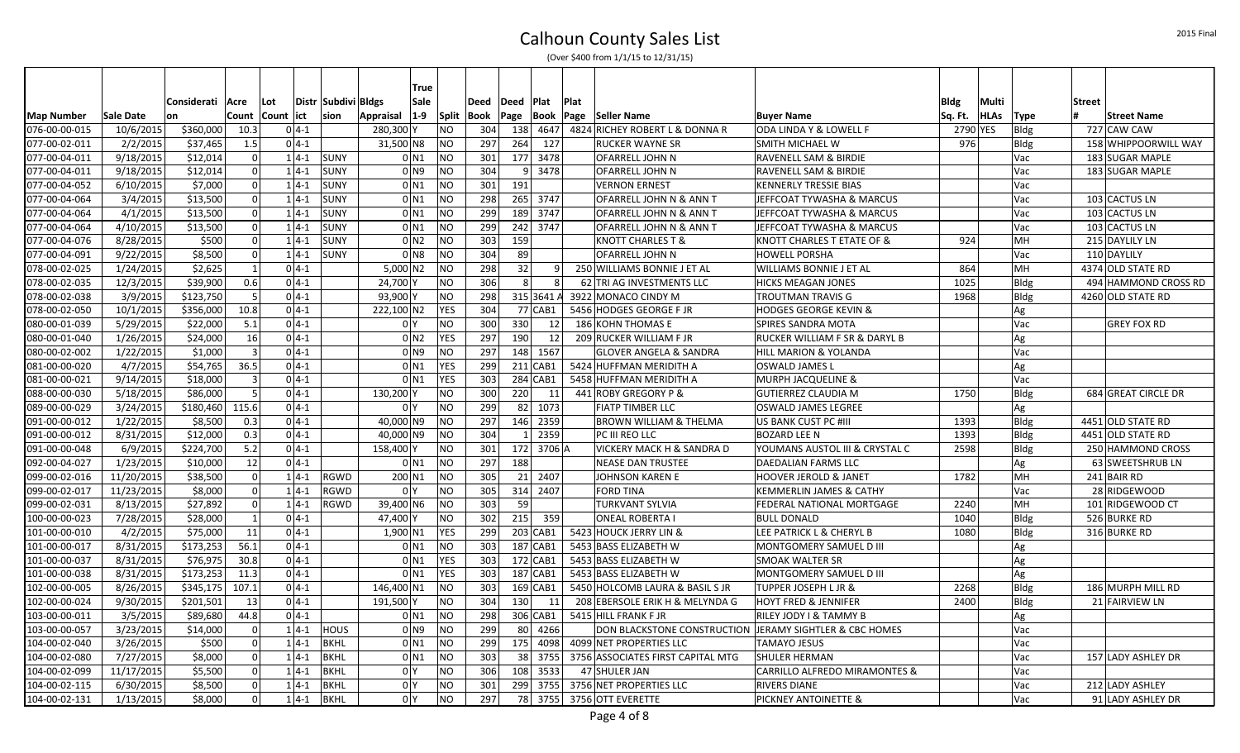|                                    |            |                    |                |            |          |                         |                | True               |                |      |                |                |             |                                                         |                                       |             |       |                     |               |                      |
|------------------------------------|------------|--------------------|----------------|------------|----------|-------------------------|----------------|--------------------|----------------|------|----------------|----------------|-------------|---------------------------------------------------------|---------------------------------------|-------------|-------|---------------------|---------------|----------------------|
|                                    |            | Considerati   Acre |                | Lot        |          | Distr   Subdivi   Bldgs |                | Sale               |                | Deed | Deed   Plat    |                | <b>Plat</b> |                                                         |                                       | <b>Bldg</b> | Multi |                     | <b>Street</b> |                      |
|                                    | Sale Date  | <b>on</b>          | Count          | Count lict |          | sion                    | Appraisal      | $1-9$              | Split          | Book | Page           |                |             | Book  Page  Seller Name                                 | <b>Buyer Name</b>                     | Sq. Ft.     | HLAs  |                     |               | <b>Street Name</b>   |
| <b>Map Number</b><br>076-00-00-015 | 10/6/2015  | \$360,000          | 10.3           |            | $0 4-1 $ |                         | 280,300 Y      |                    | N <sub>O</sub> | 304  |                | 138 4647       |             | 4824 RICHEY ROBERT L & DONNA R                          | ODA LINDA Y & LOWELL F                | 2790 YES    |       | <b>Type</b><br>Bldg |               | 727 CAW CAW          |
| 077-00-02-011                      | 2/2/2015   | \$37.465           | 1.5            |            | $0 4-1 $ |                         | 31,500 N8      |                    | <b>NO</b>      | 297  | 264            | 127            |             | <b>RUCKER WAYNE SR</b>                                  | <b>SMITH MICHAEL W</b>                | 976         |       | <b>Bldg</b>         |               | 158 WHIPPOORWILL WAY |
| 077-00-04-011                      | 9/18/2015  | \$12,014           | $\overline{0}$ |            | $1 4-1$  | <b>SUNY</b>             |                | 0 <sub>N1</sub>    | NO             | 301  |                | 177 3478       |             | OFARRELL JOHN N                                         | <b>RAVENELL SAM &amp; BIRDIE</b>      |             |       | Vac                 |               | 183 SUGAR MAPLE      |
| 077-00-04-011                      | 9/18/2015  | \$12,014           | $\overline{0}$ |            | $1 4-1$  | <b>SUNY</b>             |                | 0 <sub>N9</sub>    | <b>NO</b>      | 304  | 9 <sup>1</sup> | 3478           |             | <b>OFARRELL JOHN N</b>                                  | <b>RAVENELL SAM &amp; BIRDIE</b>      |             |       | Vac                 |               | 183 SUGAR MAPLE      |
| 077-00-04-052                      | 6/10/2015  | \$7,000            | $\overline{0}$ |            | $1 4-1$  | <b>SUNY</b>             |                | 0 <sub>N1</sub>    | NO             | 301  | 191            |                |             | <b>VERNON ERNEST</b>                                    | <b>KENNERLY TRESSIE BIAS</b>          |             |       | Vac                 |               |                      |
| 077-00-04-064                      | 3/4/2015   | \$13,500           | $\overline{0}$ |            | $1 4-1$  | <b>SUNY</b>             |                | 0 <sub>N1</sub>    | <b>NO</b>      | 298  |                | 265 3747       |             | OFARRELL JOHN N & ANN T                                 | JEFFCOAT TYWASHA & MARCUS             |             |       | Vac                 |               | 103 CACTUS LN        |
| 077-00-04-064                      | 4/1/2015   | \$13,500           | $\overline{0}$ |            | $1 4-1$  | <b>SUNY</b>             |                | 0 <sub>N1</sub>    | <b>NO</b>      | 299  |                | 189 3747       |             | OFARRELL JOHN N & ANN T                                 | JEFFCOAT TYWASHA & MARCUS             |             |       | Vac                 |               | 103 CACTUS LN        |
| 077-00-04-064                      | 4/10/2015  | \$13,500           | $\overline{0}$ |            | $1 4-1$  | <b>SUNY</b>             |                | 0 <sub>N1</sub>    | <b>NO</b>      | 299  |                | 242 3747       |             | OFARRELL JOHN N & ANN T                                 | JEFFCOAT TYWASHA & MARCUS             |             |       | Vac                 |               | 103 CACTUS LN        |
| 077-00-04-076                      | 8/28/2015  | \$500              | 0              |            | $1 4-1$  | <b>SUNY</b>             |                | 0 <sub>N2</sub>    | <b>NO</b>      | 303  | 159            |                |             | <b>KNOTT CHARLES T &amp;</b>                            | <b>KNOTT CHARLES T ETATE OF &amp;</b> | 924         |       | MH                  |               | 215 DAYLILY LN       |
| 077-00-04-091                      | 9/22/2015  | \$8,500            | 0              |            | $1 4-1$  | <b>SUNY</b>             |                | 0 N <sub>8</sub>   | <b>NO</b>      | 304  | -89            |                |             | OFARRELL JOHN N                                         | <b>HOWELL PORSHA</b>                  |             |       | Vac                 |               | 110 DAYLILY          |
| 078-00-02-025                      | 1/24/2015  | \$2,625            | $\vert$ 1      |            | $0 4-1$  |                         | $5,000$ N2     |                    | <b>NO</b>      | 298  | 32             | 9 <sup>1</sup> |             | 250 WILLIAMS BONNIE J ET AL                             | <b>WILLIAMS BONNIE J ET AL</b>        | 864         |       | MH                  |               | 4374 OLD STATE RD    |
| 078-00-02-035                      | 12/3/2015  | \$39,900           | 0.6            |            | $0 4-1$  |                         | 24,700 Y       |                    | <b>NO</b>      | 306  | 8 <sup>1</sup> | $\vert$ 8      |             | 62 TRI AG INVESTMENTS LLC                               | <b>HICKS MEAGAN JONES</b>             | 1025        |       | Bldg                |               | 494 HAMMOND CROSS RD |
| 078-00-02-038                      | 3/9/2015   | \$123,750          | 5              |            | $04-1$   |                         | 93,900 Y       |                    | <b>NO</b>      | 298  |                | 315 3641 A     |             | 3922 MONACO CINDY M                                     | <b>TROUTMAN TRAVIS G</b>              | 1968        |       | Bldg                |               | 4260 OLD STATE RD    |
| 078-00-02-050                      | 10/1/2015  | \$356,000          | 10.8           |            | $0 4-1 $ |                         | 222,100 N2     |                    | <b>YES</b>     | 304  |                | 77 CAB1        |             | 5456 HODGES GEORGE F JR                                 | <b>HODGES GEORGE KEVIN &amp;</b>      |             |       | Ag                  |               |                      |
| 080-00-01-039                      | 5/29/2015  | \$22,000           | 5.1            |            | $0 4-1 $ |                         | 0 <sup>1</sup> |                    | NO             | 300  | 330            | 12             |             | 186 KOHN THOMAS E                                       | <b>SPIRES SANDRA MOTA</b>             |             |       | Vac                 |               | <b>GREY FOX RD</b>   |
| 080-00-01-040                      | 1/26/2015  | \$24,000           | 16             |            | $0 4-1 $ |                         |                | 0 <sub>N2</sub>    | <b>YES</b>     | 297  | 190            | 12             |             | 209 RUCKER WILLIAM F JR                                 | RUCKER WILLIAM F SR & DARYL B         |             |       | Ag                  |               |                      |
| 080-00-02-002                      | 1/22/2015  | \$1,000            | $\overline{3}$ |            | $0 4-1$  |                         |                | 0 <sub>N9</sub>    | NO             | 297  |                | 148 1567       |             | <b>GLOVER ANGELA &amp; SANDRA</b>                       | <b>HILL MARION &amp; YOLANDA</b>      |             |       | Vac                 |               |                      |
| 081-00-00-020                      | 4/7/2015   | \$54,765           | 36.5           |            | $0 4-1$  |                         |                | 0 <sub>N1</sub>    | YES            | 299  |                | $211$ CAB1     |             | 5424 HUFFMAN MERIDITH A                                 | <b>OSWALD JAMES L</b>                 |             |       | Ag                  |               |                      |
| 081-00-00-021                      | 9/14/2015  | \$18,000           | $\overline{3}$ |            | $0 4-1 $ |                         |                | 0 <sub>N1</sub>    | <b>YES</b>     | 303  |                | 284 CAB1       |             | 5458 HUFFMAN MERIDITH A                                 | <b>MURPH JACQUELINE &amp;</b>         |             |       | Vac                 |               |                      |
| 088-00-00-030                      | 5/18/2015  | \$86,000           | $\vert$ 5      |            | $0 4-1$  |                         | 130,200 Y      |                    | <b>NO</b>      | 300  | 220            | 11             |             | 441 ROBY GREGORY P &                                    | <b>GUTIERREZ CLAUDIA M</b>            | 1750        |       | Bldg                |               | 684 GREAT CIRCLE DR  |
| 089-00-00-029                      | 3/24/2015  | \$180,460          | 115.6          |            | $0 4-1$  |                         | 0 <sup>1</sup> |                    | <b>NO</b>      | 299  |                | 82 1073        |             | <b>FIATP TIMBER LLC</b>                                 | <b>OSWALD JAMES LEGREE</b>            |             |       | Ag                  |               |                      |
| 091-00-00-012                      | 1/22/2015  | \$8,500            | 0.3            |            | $0 4-1$  |                         | 40,000 N9      |                    | <b>NO</b>      | 297  |                | 146 2359       |             | <b>BROWN WILLIAM &amp; THELMA</b>                       | US BANK CUST PC #III                  | 1393        |       | <b>Bldg</b>         |               | 4451 OLD STATE RD    |
| 091-00-00-012                      | 8/31/2015  | \$12,000           | 0.3            |            | $0 4-1$  |                         | 40,000 N9      |                    | <b>NO</b>      | 304  | $1\vert$       | 2359           |             | PC III REO LLC                                          | <b>BOZARD LEE N</b>                   | 1393        |       | Bldg                |               | 4451 OLD STATE RD    |
| 091-00-00-048                      | 6/9/2015   | \$224,700          | 5.2            |            | $0 4-1 $ |                         | 158,400 Y      |                    | <b>NO</b>      | 301  |                | 172 3706 A     |             | VICKERY MACK H & SANDRA D                               | YOUMANS AUSTOL III & CRYSTAL C        | 2598        |       | <b>Bldg</b>         |               | 250 HAMMOND CROSS    |
| 092-00-04-027                      | 1/23/2015  | \$10,000           | 12             |            | $0 4-1 $ |                         |                | 0 <sub>N1</sub>    | <b>NO</b>      | 297  | 188            |                |             | <b>NEASE DAN TRUSTEE</b>                                | DAEDALIAN FARMS LLC                   |             |       | Ag                  |               | 63 SWEETSHRUB LN     |
| 099-00-02-016                      | 11/20/2015 | \$38,500           | $\overline{0}$ |            | $1 4-1$  | <b>RGWD</b>             | 200 N1         |                    | <b>NO</b>      | 305  |                | 21 2407        |             | <b>JOHNSON KAREN E</b>                                  | <b>HOOVER JEROLD &amp; JANET</b>      | 1782        |       | MH                  |               | 241 BAIR RD          |
| 099-00-02-017                      | 11/23/2015 | \$8,000            | $\overline{0}$ |            | $1 4-1$  | RGWD                    | 0 <sup>1</sup> |                    | <b>NO</b>      | 305  |                | 314 2407       |             | <b>FORD TINA</b>                                        | <b>KEMMERLIN JAMES &amp; CATHY</b>    |             |       | Vac                 |               | 28 RIDGEWOOD         |
| 099-00-02-031                      | 8/13/2015  | \$27,892           | $\overline{0}$ |            | $1 4-1$  | RGWD                    | 39,400 N6      |                    | <b>NO</b>      | 303  | 59             |                |             | <b>TURKVANT SYLVIA</b>                                  | <b>FEDERAL NATIONAL MORTGAGE</b>      | 2240        |       | MH                  |               | 101 RIDGEWOOD CT     |
| 100-00-00-023                      | 7/28/2015  | \$28,000           | $\mathbf{1}$   |            | $0 4-1$  |                         | 47,400 Y       |                    | NO             | 302  | 215            | 359            |             | <b>ONEAL ROBERTA I</b>                                  | <b>BULL DONALD</b>                    | 1040        |       | <b>Bldg</b>         |               | 526 BURKE RD         |
| 101-00-00-010                      | 4/2/2015   | \$75,000           | 11             |            | $0 4-1$  |                         | 1,900 N1       |                    | <b>YES</b>     | 299  |                | 203 CAB1       |             | 5423 HOUCK JERRY LIN &                                  | LEE PATRICK L & CHERYL B              | 1080        |       | Bldg                |               | 316 BURKE RD         |
| 101-00-00-017                      | 8/31/2015  | \$173,253          | 56.1           |            | $0 4-1 $ |                         |                | 0 <sub>N1</sub>    | NO             | 303  |                | 187 CAB1       |             | 5453 BASS ELIZABETH W                                   | MONTGOMERY SAMUEL D III               |             |       | Ag                  |               |                      |
| 101-00-00-037                      | 8/31/2015  | \$76,975           | 30.8           |            | $0 4-1$  |                         |                | $0$ N <sub>1</sub> | <b>YES</b>     | 303  |                | $172$ CAB1     |             | 5453 BASS ELIZABETH W                                   | <b>SMOAK WALTER SR</b>                |             |       | Ag                  |               |                      |
| 101-00-00-038                      | 8/31/2015  | 5173,253           | 11.3           |            | $0 4-1$  |                         |                | 0 <sub>N1</sub>    | <b>YES</b>     | 303  |                | 187 CAB1       |             | 5453 BASS ELIZABETH W                                   | MONTGOMERY SAMUEL D III               |             |       | Ag                  |               |                      |
| 102-00-00-005                      | 8/26/2015  | \$345,175          | 107.1          |            | $0 4-1$  |                         | 146,400 N1     |                    | <b>NO</b>      | 303  |                | 169 CAB1       |             | 5450 HOLCOMB LAURA & BASIL S JR                         | <b>TUPPER JOSEPH L JR &amp;</b>       | 2268        |       | Bldg                |               | 186 MURPH MILL RD    |
| 102-00-00-024                      | 9/30/2015  | \$201,501          | 13             |            | $0 4-1 $ |                         | 191,500 Y      |                    | N <sub>O</sub> | 304  | 130            | 11             |             | 208 EBERSOLE ERIK H & MELYNDA G                         | <b>HOYT FRED &amp; JENNIFER</b>       | 2400        |       | Bldg                |               | 21 FAIRVIEW LN       |
| 103-00-00-011                      | 3/5/2015   | \$89,680           | 44.8           |            | $0 4-1$  |                         |                | 0 <sub>N1</sub>    | <b>NO</b>      | 298  |                | 306 CAB1       |             | 5415 HILL FRANK F JR                                    | RILEY JODY I & TAMMY B                |             |       | Ag                  |               |                      |
| 103-00-00-057                      | 3/23/2015  | \$14,000           | $\overline{0}$ |            | $1 4-1$  | <b>HOUS</b>             |                | 0 N <sub>9</sub>   | <b>NO</b>      | 299  |                | 80 4266        |             | DON BLACKSTONE CONSTRUCTION JERAMY SIGHTLER & CBC HOMES |                                       |             |       | Vac                 |               |                      |
| 104-00-02-040                      | 3/26/2015  | \$500              | $\overline{0}$ |            | $1 4-1$  | <b>BKHL</b>             |                | 0 <sub>N1</sub>    | <b>NO</b>      | 299  |                | 175 4098       |             | 4099 NET PROPERTIES LLC                                 | <b>TAMAYO JESUS</b>                   |             |       | Vac                 |               |                      |
| 104-00-02-080                      | 7/27/2015  | \$8,000            | $\overline{0}$ |            | $1 4-1$  | <b>BKHL</b>             |                | 0 <sub>N1</sub>    | <b>NO</b>      | 303  |                | 38 3755        |             | 3756 ASSOCIATES FIRST CAPITAL MTG                       | <b>SHULER HERMAN</b>                  |             |       | Vac                 |               | 157 LADY ASHLEY DR   |
| 104-00-02-099                      | 11/17/2015 | \$5,500            | $\overline{0}$ |            | $1 4-1$  | <b>BKHL</b>             | 0 <sup>1</sup> |                    | <b>NO</b>      | 306  |                | 108 3533       |             | 47 SHULER JAN                                           | CARRILLO ALFREDO MIRAMONTES &         |             |       | Vac                 |               |                      |
| 104-00-02-115                      | 6/30/2015  | \$8,500            | 0              |            | $1 4-1$  | <b>BKHL</b>             | 0 <sup>1</sup> |                    | <b>NO</b>      | 301  |                | 299 3755       |             | 3756 NET PROPERTIES LLC                                 | <b>RIVERS DIANE</b>                   |             |       | Vac                 |               | 212 LADY ASHLEY      |
| 104-00-02-131                      | 1/13/2015  | \$8,000            | $\Omega$       |            | $1 4-1$  | <b>BKHL</b>             | 0 <sup>Y</sup> |                    | <b>NO</b>      | 297  |                | 78 3755        |             | 3756 OTT EVERETTE                                       | <b>PICKNEY ANTOINETTE &amp;</b>       |             |       | Vac                 |               | 91 LADY ASHLEY DR    |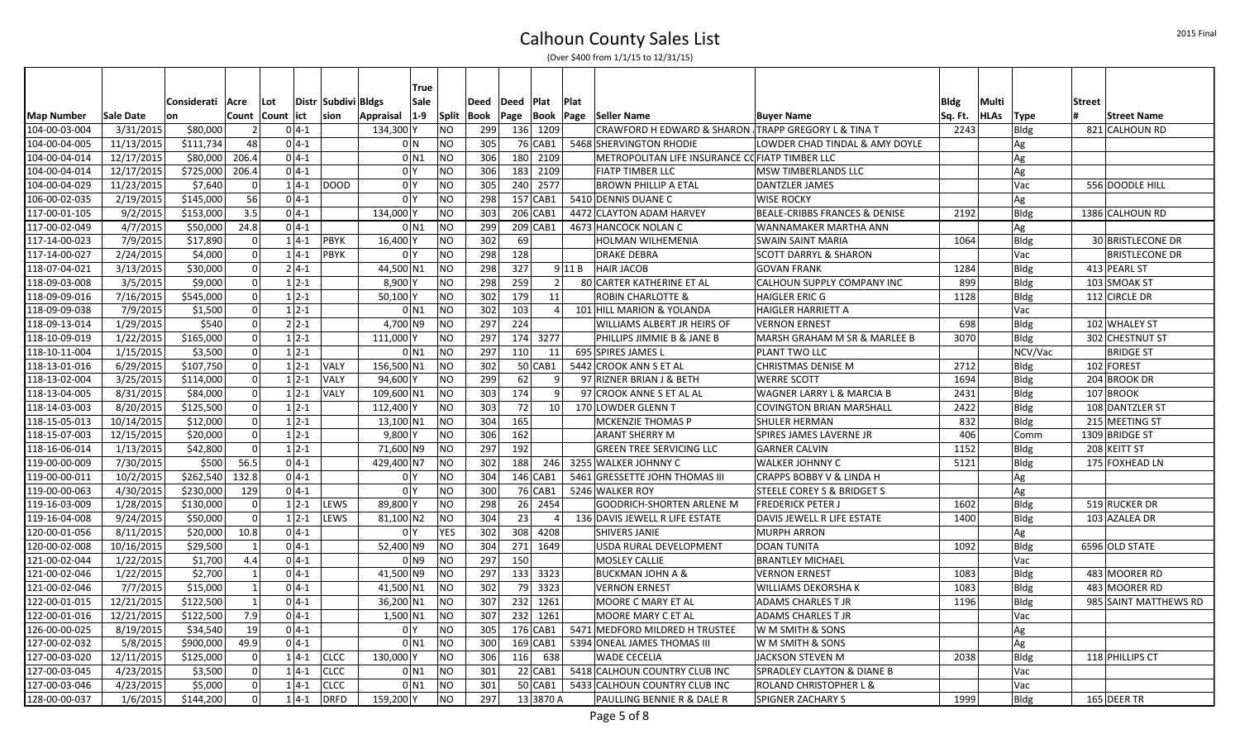|                   |            |             |                                  |            |                    |                     |                | True            |           |             |            |             |                  |                                                     |                                          |         |             |             |                       |
|-------------------|------------|-------------|----------------------------------|------------|--------------------|---------------------|----------------|-----------------|-----------|-------------|------------|-------------|------------------|-----------------------------------------------------|------------------------------------------|---------|-------------|-------------|-----------------------|
|                   |            | Considerati | Acre                             | Lot        |                    | Distr Subdivi Bldgs |                | Sale            |           | Deed        | Deed       | <b>Plat</b> | Plat             |                                                     |                                          | Bldg    | Multi       |             | <b>Street</b>         |
| <b>Map Number</b> | Sale Date  | <b>l</b> on | Count                            | Count  ict |                    | sion                | Appraisal      | $1-9$           | Split     | <b>Book</b> |            |             | Page  Book  Page | <b>Seller Name</b>                                  | <b>Buyer Name</b>                        | Sq. Ft. | <b>HLAs</b> | Type        | <b>Street Name</b>    |
| 104-00-03-004     | 3/31/2015  | \$80,000    | $\vert$ 2                        |            | $0 4-1$            |                     | 134,300 Y      |                 | <b>NO</b> | 299         |            | 136 1209    |                  | CRAWFORD H EDWARD & SHARON TRAPP GREGORY L & TINA T |                                          | 2243    |             | <b>Bldg</b> | 821 CALHOUN RD        |
| 104-00-04-005     | 11/13/2015 | \$111,734   | 48                               |            | $0 4-1 $           |                     |                | 0 N             | <b>NO</b> | 305         |            | 76 CAB1     |                  | 5468 SHERVINGTON RHODIE                             | LOWDER CHAD TINDAL & AMY DOYLE           |         |             | Ag          |                       |
| 104-00-04-014     | 12/17/2015 | \$80,000    | 206.4                            |            | $0 4-1 $           |                     |                | 0 <sub>N1</sub> | <b>NO</b> | 306         |            | 180 2109    |                  | METROPOLITAN LIFE INSURANCE COFIATP TIMBER LLC      |                                          |         |             | Ag          |                       |
| 104-00-04-014     | 12/17/2015 | \$725,000   | 206.4                            |            | $0 4-1 $           |                     |                | 0 <sup>1</sup>  | <b>NO</b> | 306         |            | 183 2109    |                  | <b>FIATP TIMBER LLC</b>                             | <b>MSW TIMBERLANDS LLC</b>               |         |             | Ag          |                       |
| 104-00-04-029     | 11/23/2015 | \$7,640     | $\Omega$                         |            | $1 4-1 $           | <b>DOOD</b>         |                | 0 <sup>N</sup>  | <b>NO</b> | 305         |            | 240 2577    |                  | <b>BROWN PHILLIP A ETAL</b>                         | <b>DANTZLER JAMES</b>                    |         |             | Vac         | 556 DOODLE HILL       |
| 106-00-02-035     | 2/19/2015  | \$145,000   | 56                               |            | $0 4-1 $           |                     | 0 <sup>1</sup> |                 | <b>NO</b> | 298         |            | $157$ CAB1  |                  | 5410 DENNIS DUANE C                                 | <b>WISE ROCKY</b>                        |         |             | Ag          |                       |
| 117-00-01-105     | 9/2/2015   | \$153,000   | 3.5                              |            | $0 4-1$            |                     | 134,000 Y      |                 | <b>NO</b> | 303         |            | 206 CAB1    |                  | 4472 CLAYTON ADAM HARVEY                            | <b>BEALE-CRIBBS FRANCES &amp; DENISE</b> | 2192    |             | <b>Bldg</b> | 1386 CALHOUN RD       |
| 117-00-02-049     | 4/7/2015   | \$50,000    | 24.8                             |            | $0 4-1$            |                     |                | $0$ N1          | <b>NO</b> | 299         |            | $209$ CAB1  |                  | 4673 HANCOCK NOLAN C                                | <b>WANNAMAKER MARTHA ANN</b>             |         |             | Ag          |                       |
| 117-14-00-023     | 7/9/2015   | \$17,890    | 0                                |            | $1 4-1$            | <b>PBYK</b>         | 16,400 Y       |                 | <b>NO</b> | 302         | 69 l       |             |                  | HOLMAN WILHEMENIA                                   | <b>SWAIN SAINT MARIA</b>                 | 1064    |             | Bldg        | 30 BRISTLECONE DR     |
| 117-14-00-027     | 2/24/2015  | \$4,000     | 0                                |            | $14-1$             | PBYK                | 0 <sup>Y</sup> |                 | <b>NO</b> | 298         | 128        |             |                  | <b>DRAKE DEBRA</b>                                  | <b>SCOTT DARRYL &amp; SHARON</b>         |         |             | Vac         | <b>BRISTLECONE DR</b> |
| 118-07-04-021     | 3/13/2015  | \$30,000    | 0                                |            | $2 4-1 $           |                     | 44,500 N1      |                 | <b>NO</b> | 298         | 327        |             | $9$ 11 B         | <b>HAIR JACOB</b>                                   | <b>GOVAN FRANK</b>                       | 1284    |             | Bldg        | 413 PEARL ST          |
| 118-09-03-008     | 3/5/2015   | \$9,000     | 0                                |            | $1 \overline{2-1}$ |                     | 8,900 Y        |                 | <b>NO</b> | 298         | 259        |             | 2                | 80 CARTER KATHERINE ET AL                           | CALHOUN SUPPLY COMPANY INC               | 899     |             | Bldg        | 103 SMOAK ST          |
| 118-09-09-016     | 7/16/2015  | \$545,000   | 0                                |            | $1 2-1$            |                     | 50,100 Y       |                 | <b>NO</b> | 302         | 179        | 11          |                  | <b>ROBIN CHARLOTTE &amp;</b>                        | <b>HAIGLER ERIC G</b>                    | 1128    |             | Bldg        | 112 CIRCLE DR         |
| 118-09-09-038     | 7/9/2015   | \$1,500     | $\overline{0}$                   |            | $1 \overline{2-1}$ |                     |                | $0$ N1          | <b>NO</b> | 302         | 103        |             | 4 <sup>1</sup>   | 101 HILL MARION & YOLANDA                           | HAIGLER HARRIETT A                       |         |             | Vac         |                       |
| 118-09-13-014     | 1/29/2015  | \$540       | $\overline{0}$                   |            | $2 \, 2 - 1$       |                     | 4,700 N9       |                 | <b>NO</b> | 297         | 224        |             |                  | WILLIAMS ALBERT JR HEIRS OF                         | <b>VERNON ERNEST</b>                     | 698     |             | Bldg        | 102 WHALEY ST         |
| 118-10-09-019     | 1/22/2015  | \$165,000   | 0                                |            | $1 2-1$            |                     | 111,000 Y      |                 | NO        | 297         |            | 174 3277    |                  | PHILLIPS JIMMIE B & JANE B                          | MARSH GRAHAM M SR & MARLEE B             | 3070    |             | Bldg        | 302 CHESTNUT ST       |
| 118-10-11-004     | 1/15/2015  | \$3,500     | $\overline{0}$                   |            | $1 2-1$            |                     |                | 0 <sub>N1</sub> | <b>NO</b> | 297         | 110        | 11          |                  | 695 SPIRES JAMES L                                  | PLANT TWO LLC                            |         |             | NCV/Vac     | <b>BRIDGE ST</b>      |
| 118-13-01-016     | 6/29/2015  | \$107,750   | $\overline{0}$                   |            | $1 \, 2 - 1$       | <b>VALY</b>         | 156,500 N1     |                 | NO        | 302         |            | 50 CAB1     |                  | 5442 CROOK ANN S ET AL                              | <b>CHRISTMAS DENISE M</b>                | 2712    |             | Bldg        | 102 FOREST            |
| 118-13-02-004     | 3/25/2015  | \$114,000   | $\overline{0}$                   |            | $1 \, 2 - 1$       | VALY                | 94,600 Y       |                 | <b>NO</b> | 299         | 62         |             | 9 <sup>1</sup>   | 97 RIZNER BRIAN J & BETH                            | <b>WERRE SCOTT</b>                       | 1694    |             | Bldg        | 204 BROOK DR          |
| 118-13-04-005     | 8/31/2015  | \$84,000    | $\overline{0}$                   |            | $1 \overline{2-1}$ | <b>VALY</b>         | 109,600 N1     |                 | <b>NO</b> | 303         | 174        |             | 9 <sup>1</sup>   | 97 CROOK ANNE S ET AL AL                            | <b>WAGNER LARRY L &amp; MARCIA B</b>     | 2431    |             | Bldg        | 107 BROOK             |
| 118-14-03-003     | 8/20/2015  | \$125,500   | 0                                |            | $1 \, 2 - 1$       |                     | 112,400 Y      |                 | <b>NO</b> | 303         | <b>721</b> |             | 10 <sup>1</sup>  | 170 LOWDER GLENN T                                  | COVINGTON BRIAN MARSHALL                 | 2422    |             | Bldg        | 108 DANTZLER ST       |
| 118-15-05-013     | 10/14/2015 | \$12,000    | $\overline{0}$                   |            | $1 \overline{2-1}$ |                     | 13,100 N1      |                 | <b>NO</b> | 304         | 165        |             |                  | <b>MCKENZIE THOMAS P</b>                            | <b>SHULER HERMAN</b>                     | 832     |             | Bldg        | 215 MEETING ST        |
| 118-15-07-003     | 12/15/2015 | \$20,000    | 0                                |            | $1 \, 2 - 1$       |                     | $9,800$ Y      |                 | <b>NO</b> | 306         | 162        |             |                  | <b>ARANT SHERRY M</b>                               | SPIRES JAMES LAVERNE JR                  | 406     |             | Comm        | 1309 BRIDGE ST        |
| 118-16-06-014     | 1/13/2015  | \$42,800    | $\overline{0}$                   |            | $1 \, 2 - 1$       |                     | 71,600 N9      |                 | <b>NO</b> | 297         | 192        |             |                  | <b>GREEN TREE SERVICING LLC</b>                     | <b>GARNER CALVIN</b>                     | 1152    |             | <b>Bldg</b> | 208 KEITT ST          |
| 119-00-00-009     | 7/30/2015  | \$500       | 56.5                             |            | $0 4-1$            |                     | 429,400 N7     |                 | <b>NO</b> | 302         | 188        | 246         |                  | 3255 WALKER JOHNNY C                                | <b>WALKER JOHNNY C</b>                   | 5121    |             | Bldg        | 175 FOXHEAD LN        |
| 119-00-00-011     | 10/2/2015  | \$262,540   | 132.8                            |            | $0 4-1 $           |                     |                | 0 <sup>N</sup>  | NO        | 304         |            | $146$ CAB1  |                  | 5461 GRESSETTE JOHN THOMAS III                      | CRAPPS BOBBY V & LINDA H                 |         |             | Ag          |                       |
| 119-00-00-063     | 4/30/2015  | \$230,000   | 129                              |            | $0 4-1 $           |                     | 0 <sup>Y</sup> |                 | NO        | 300         |            | 76 CAB1     |                  | 5246 WALKER ROY                                     | <b>STEELE COREY S &amp; BRIDGET S</b>    |         |             | Ag          |                       |
| 119-16-03-009     | 1/28/2015  | \$130,000   | $\overline{0}$                   |            | $1 \, 2 - 1$       | LEWS                | 89,800 Y       |                 | <b>NO</b> | 298         |            | 26 2454     |                  | <b>GOODRICH-SHORTEN ARLENE M</b>                    | <b>FREDERICK PETER J</b>                 | 1602    |             | <b>Bldg</b> | 519 RUCKER DR         |
| 119-16-04-008     | 9/24/2015  | \$50,000    | 0                                |            | $1 2-1$            | LEWS                | 81,100 N2      |                 | <b>NO</b> | 304         | 23         |             |                  | 136 DAVIS JEWELL R LIFE ESTATE                      | DAVIS JEWELL R LIFE ESTATE               | 1400    |             | <b>Bldg</b> | 103 AZALEA DR         |
| 120-00-01-056     | 8/11/2015  | \$20,000    | 10.8                             |            | $0 4-1 $           |                     | 0 <sup>Y</sup> |                 | YES       | 302         |            | 308 4208    |                  | SHIVERS JANIE                                       | <b>MURPH ARRON</b>                       |         |             | Ag          |                       |
| 120-00-02-008     | 10/16/2015 | \$29,500    | $\mathbf{1}$                     |            | $0 4-1 $           |                     | 52,400 N9      |                 | <b>NO</b> | 304         |            | 271 1649    |                  | USDA RURAL DEVELOPMENT                              | <b>DOAN TUNITA</b>                       | 1092    |             | Bldg        | 6596 OLD STATE        |
| 121-00-02-044     | 1/22/2015  | \$1,700     | 4.4                              |            | $0 4-1 $           |                     |                | 0 <sub>N9</sub> | <b>NO</b> | 297         | 150        |             |                  | <b>MOSLEY CALLIE</b>                                | <b>BRANTLEY MICHAEL</b>                  |         |             | Vac         |                       |
| 121-00-02-046     | 1/22/2015  | \$2,700     | $\vert$ 1                        |            | $0 4-1$            |                     | 41,500 N9      |                 | <b>NO</b> | 297         |            | 133 3323    |                  | <b>BUCKMAN JOHN A &amp;</b>                         | <b>VERNON ERNEST</b>                     | 1083    |             | Bldg        | 483 MOORER RD         |
| 121-00-02-046     | 7/7/2015   | \$15,000    | $\vert$ 1                        |            | $0 4-1$            |                     | 41,500 N1      |                 | <b>NO</b> | 302         |            | 79 3323     |                  | <b>VERNON ERNEST</b>                                | <b>WILLIAMS DEKORSHA K</b>               | 1083    |             | Bldg        | 483 MOORER RD         |
| 122-00-01-015     | 12/21/2015 | \$122,500   | $\vert$ 1                        |            | $04-1$             |                     | 36,200 N1      |                 | <b>NO</b> | 307         |            | 232 1261    |                  | MOORE C MARY ET AL                                  | <b>ADAMS CHARLES T JR</b>                | 1196    |             | Bldg        | 985 SAINT MATTHEWS RD |
| 122-00-01-016     | 12/21/2015 | \$122,500   | 7.9                              |            | $0 4-1$            |                     | $1,500$ N1     |                 | <b>NO</b> | 307         |            | 232 1261    |                  | MOORE MARY C ET AL                                  | <b>ADAMS CHARLES T JR</b>                |         |             | Vac         |                       |
| 126-00-00-025     | 8/19/2015  | \$34,540    | 19                               |            | $0 4-1 $           |                     |                | 0 <sup>1</sup>  | <b>NO</b> | 305         |            | 176 CAB1    |                  | 5471 MEDFORD MILDRED H TRUSTEE                      | W M SMITH & SONS                         |         |             | Ag          |                       |
| 127-00-02-032     | 5/8/2015   | \$900,000   | 49.9                             |            | $0 4-1$            |                     |                | $0$ N1          | NO        | 300         |            | $169$ CAB1  |                  | 5394 ONEAL JAMES THOMAS III                         | W M SMITH & SONS                         |         |             | Ag          |                       |
| 127-00-03-020     | 12/11/2015 | \$125,000   | $\Omega$                         |            | $1 4-1$            | <b>CLCC</b>         | 130,000 Y      |                 | <b>NO</b> | 306         | 116        | 638         |                  | <b>WADE CECELIA</b>                                 | <b>JACKSON STEVEN M</b>                  | 2038    |             | <b>Bldg</b> | 118 PHILLIPS CT       |
| 127-00-03-045     | 4/23/2015  | \$3,500     | $\overline{0}$<br>$\overline{0}$ |            | $1 4-1$            | <b>CLCC</b>         |                | 0 <sub>N1</sub> | NO        | 301<br>301  |            | 22 CAB1     |                  | 5418 CALHOUN COUNTRY CLUB INC                       | <b>SPRADLEY CLAYTON &amp; DIANE B</b>    |         |             | Vac         |                       |
| 127-00-03-046     | 4/23/2015  | \$5,000     |                                  |            | $1 4-1$            | <b>CLCC</b>         |                | 0 <sub>N1</sub> | <b>NO</b> |             |            | $50$ CAB1   |                  | 5433 CALHOUN COUNTRY CLUB INC                       | <b>ROLAND CHRISTOPHER L &amp;</b>        | 1999    |             | Vac         |                       |
| 128-00-00-037     | 1/6/2015   | \$144,200   | $\overline{0}$                   |            | $1 4-1$            | <b>DRFD</b>         | 159,200 Y      |                 | <b>NO</b> | 297         |            | 13 3870 A   |                  | PAULLING BENNIE R & DALE R                          | <b>SPIGNER ZACHARY S</b>                 |         |             | Bldg        | 165 DEER TR           |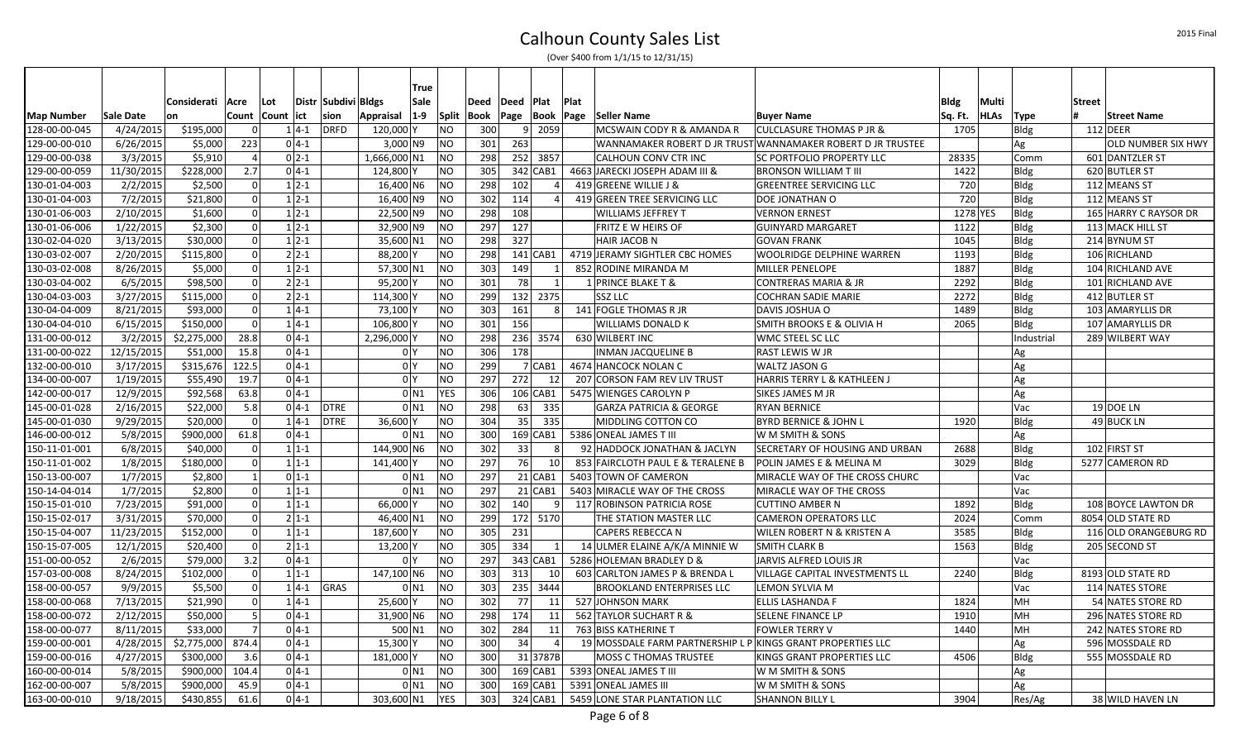|                   |            |                        |                |            |          |                     |                | True               |            |      |             |                 |      |                                                             |                                                             |          |           |             |               |                           |
|-------------------|------------|------------------------|----------------|------------|----------|---------------------|----------------|--------------------|------------|------|-------------|-----------------|------|-------------------------------------------------------------|-------------------------------------------------------------|----------|-----------|-------------|---------------|---------------------------|
|                   |            | Considerati            | <b>Acre</b>    | Lot        |          | Distr Subdivi Bldgs |                | Sale               |            | Deed | Deed   Plat |                 | Plat |                                                             |                                                             | Bldg     | Multi     |             | <b>Street</b> |                           |
| <b>Map Number</b> | Sale Date  | <b>on</b>              | Count          | Count lict |          | sion                | Appraisal      | $ 1-9 $            | Split      |      |             |                 |      | Book  Page  Book  Page  Seller Name                         | <b>Buyer Name</b>                                           | Sq. Ft.  | HLAs Type |             |               | <b>Street Name</b>        |
| 128-00-00-045     | 4/24/2015  | \$195,000              | $\Omega$       |            | $1 4-1$  | <b>DRFD</b>         | 120,000 Y      |                    | NO         | 300  |             | 9 2059          |      | MCSWAIN CODY R & AMANDA R                                   | <b>CULCLASURE THOMAS P JR &amp;</b>                         | 1705     |           | Bldg        |               | $112$ DEER                |
| 129-00-00-010     | 6/26/2015  | \$5,000                | 223            |            | $0 4-1$  |                     | $3,000$ N9     |                    | <b>NO</b>  | 301  | 263         |                 |      |                                                             | WANNAMAKER ROBERT D JR TRUST WANNAMAKER ROBERT D JR TRUSTEE |          |           | Ag          |               | <b>OLD NUMBER SIX HWY</b> |
| 129-00-00-038     | 3/3/2015   | \$5,910                | $\overline{4}$ |            | $0 2-1$  |                     | 1,666,000 N1   |                    | <b>NO</b>  | 298  |             | 252 3857        |      | CALHOUN CONV CTR INC                                        | <b>SC PORTFOLIO PROPERTY LLC</b>                            | 28335    |           | Comm        |               | 601 DANTZLER ST           |
| 129-00-00-059     | 11/30/2015 | \$228,000              | 2.7            |            | $0 4-1$  |                     | 124,800 Y      |                    | <b>NO</b>  | 305  |             | $342$ CAB1      |      | 4663 JARECKI JOSEPH ADAM III &                              | <b>BRONSON WILLIAM T III</b>                                | 1422     |           | Bldg        |               | 620 BUTLER ST             |
| 130-01-04-003     | 2/2/2015   | \$2,500                | $\Omega$       |            | $1 2-1$  |                     | 16,400 N6      |                    | <b>NO</b>  | 298  | 102         |                 |      | 419 GREENE WILLIE J &                                       | <b>GREENTREE SERVICING LLC</b>                              | 720      |           | Bldg        |               | 112 MEANS ST              |
| 130-01-04-003     | 7/2/2015   | \$21,800               | $\Omega$       |            | $1 2-1$  |                     | 16,400 N9      |                    | <b>NO</b>  | 302  | 114         | 4               |      | 419 GREEN TREE SERVICING LLC                                | DOE JONATHAN O                                              | 720      |           | <b>Bldg</b> |               | 112 MEANS ST              |
| 130-01-06-003     | 2/10/2015  | \$1,600                | $\Omega$       |            | $1 2-1$  |                     | 22,500 N9      |                    | <b>NO</b>  | 298  | 108         |                 |      | <b>WILLIAMS JEFFREY T</b>                                   | <b>VERNON ERNEST</b>                                        | 1278 YES |           | <b>Bldg</b> |               | 165 HARRY C RAYSOR DR     |
| 130-01-06-006     | 1/22/2015  | \$2,300                | $\Omega$       |            | $1 2-1$  |                     | 32,900 N9      |                    | <b>NO</b>  | 297  | 127         |                 |      | FRITZ E W HEIRS OF                                          | GUINYARD MARGARET                                           | 1122     |           | Bldg        |               | 113 MACK HILL ST          |
| 130-02-04-020     | 3/13/2015  | \$30,000               | $\Omega$       |            | $1 2-1$  |                     | 35,600 N1      |                    | <b>NO</b>  | 298  | 327         |                 |      | HAIR JACOB N                                                | GOVAN FRANK                                                 | 1045     |           | <b>Bldg</b> |               | 214 BYNUM ST              |
| 130-03-02-007     | 2/20/2015  | \$115,800              | $\overline{0}$ |            | $2 2-1$  |                     | 88,200 Y       |                    | <b>NO</b>  | 298  |             | $141$ CAB1      |      | 4719 JERAMY SIGHTLER CBC HOMES                              | <b>WOOLRIDGE DELPHINE WARREN</b>                            | 1193     |           | <b>Bldg</b> |               | 106 RICHLAND              |
| 130-03-02-008     | 8/26/2015  | \$5,000                | $\Omega$       |            | $1 2-1$  |                     | 57,300 N1      |                    | <b>NO</b>  | 303  | 149         | 1               |      | 852 RODINE MIRANDA M                                        | MILLER PENELOPE                                             | 1887     |           | Bldg        |               | 104 RICHLAND AVE          |
| 130-03-04-002     | 6/5/2015   | \$98,500               | $\mathbf 0$    |            | $2 2-1$  |                     | 95,200 Y       |                    | <b>NO</b>  | 301  | 78          | 1               |      | 1 PRINCE BLAKE T &                                          | <b>CONTRERAS MARIA &amp; JR</b>                             | 2292     |           | Bldg        |               | 101 RICHLAND AVE          |
| 130-04-03-003     | 3/27/2015  | \$115,000              | 0              |            | $2 2-1$  |                     | 114,300 Y      |                    | <b>NO</b>  | 299  |             | 132 2375        |      | <b>SSZ LLC</b>                                              | <b>COCHRAN SADIE MARIE</b>                                  | 2272     |           | Bldg        |               | 412 BUTLER ST             |
| 130-04-04-009     | 8/21/2015  | \$93,000               | -ol            |            | $1 4-1$  |                     | 73,100 Y       |                    | <b>NO</b>  | 303  | 161         | 8 <sup>1</sup>  |      | 141 FOGLE THOMAS R JR                                       | DAVIS JOSHUA O                                              | 1489     |           | Bldg        |               | 103 AMARYLLIS DR          |
| 130-04-04-010     | 6/15/2015  | \$150,000              | $\Omega$       |            | $1 4-1$  |                     | 106,800 Y      |                    | <b>NO</b>  | 301  | 156         |                 |      | WILLIAMS DONALD K                                           | SMITH BROOKS E & OLIVIA H                                   | 2065     |           | Bldg        |               | 107 AMARYLLIS DR          |
| 131-00-00-012     | 3/2/2015   | \$2,275,000            | 28.8           |            | $0 4-1$  |                     | 2,296,000 Y    |                    | <b>NO</b>  | 298  |             | 236 3574        |      | 630 WILBERT INC                                             | <b>WMC STEEL SC LLC</b>                                     |          |           | Industrial  |               | 289 WILBERT WAY           |
| 131-00-00-022     | 12/15/2015 | \$51,000               | 15.8           |            | $0 4-1$  |                     |                | 0 Y                | <b>NO</b>  | 306  | 178         |                 |      | <b>INMAN JACQUELINE B</b>                                   | <b>RAST LEWIS W JR</b>                                      |          |           | Ag          |               |                           |
| 132-00-00-010     | 3/17/2015  | \$315,676              | 122.5          |            | $0 4-1$  |                     | 0 <sup>N</sup> |                    | <b>NO</b>  | 299  |             | 7 CAB1          |      | 4674 HANCOCK NOLAN C                                        | <b>WALTZ JASON G</b>                                        |          |           | Ag          |               |                           |
| 134-00-00-007     | 1/19/2015  | \$55,490               | 19.7           |            | $0 4-1$  |                     |                | 0 <sup>1</sup>     | <b>NO</b>  | 297  | 272         | 12              |      | 207 CORSON FAM REV LIV TRUST                                | <b>HARRIS TERRY L &amp; KATHLEEN J</b>                      |          |           | Ag          |               |                           |
| 142-00-00-017     | 12/9/2015  | \$92,568               | 63.8           |            | $0 4-1 $ |                     |                | $0$ N <sub>1</sub> | <b>YES</b> | 306  |             | 106 CAB1        |      | 5475 WIENGES CAROLYN P                                      | <b>SIKES JAMES M JR</b>                                     |          |           | Ag          |               |                           |
| 145-00-01-028     | 2/16/2015  | \$22,000               | 5.8            |            | $0 4-1$  | <b>DTRE</b>         |                | $0$ N <sub>1</sub> | <b>NO</b>  | 298  | 63          | 335             |      | <b>GARZA PATRICIA &amp; GEORGE</b>                          | <b>RYAN BERNICE</b>                                         |          |           | Vac         |               | 19 DOE LN                 |
| 145-00-01-030     | 9/29/2015  | \$20,000               | $\Omega$       |            | $1 4-1$  | <b>DTRE</b>         | 36.600 Y       |                    | <b>NO</b>  | 304  | 35          | 335             |      | MIDDLING COTTON CO                                          | <b>BYRD BERNICE &amp; JOHN L</b>                            | 1920     |           | <b>Bldg</b> |               | 49 BUCK LN                |
| 146-00-00-012     | 5/8/2015   | \$900,000              | 61.8           |            | $0 4-1$  |                     |                | 0 <sub>N1</sub>    | <b>NO</b>  | 300  |             | $169$ CAB1      |      | 5386 ONEAL JAMES T III                                      | W M SMITH & SONS                                            |          |           | Ag          |               |                           |
| 150-11-01-001     | 6/8/2015   | \$40,000               | $\overline{0}$ |            | $1 1-1$  |                     | 144,900 N6     |                    | <b>NO</b>  | 302  | 33          | 8 <sup>1</sup>  |      | 92 HADDOCK JONATHAN & JACLYN                                | <b>SECRETARY OF HOUSING AND URBAN</b>                       | 2688     |           | Bldg        |               | 102 FIRST ST              |
| 150-11-01-002     | 1/8/2015   | \$180,000              | $\overline{0}$ |            | $1 1-1$  |                     | 141,400 Y      |                    | <b>NO</b>  | 297  | 76          | 10              |      | 853 FAIRCLOTH PAUL E & TERALENE B                           | POLIN JAMES E & MELINA M                                    | 3029     |           | <b>Bldg</b> |               | 5277 CAMERON RD           |
| 150-13-00-007     | 1/7/2015   | \$2,800                | $\mathbf{1}$   |            | $0 1-1$  |                     |                | 0 <sub>N1</sub>    | <b>NO</b>  | 297  |             | $21$ CAB1       |      | 5403 TOWN OF CAMERON                                        | MIRACLE WAY OF THE CROSS CHURC                              |          |           | Vac         |               |                           |
| 150-14-04-014     | 1/7/2015   | \$2,800                | 0              |            | $1 1-1$  |                     |                | $0$ N1             | <b>NO</b>  | 297  |             | $21$ CAB1       |      | 5403 MIRACLE WAY OF THE CROSS                               | MIRACLE WAY OF THE CROSS                                    |          |           | Vac         |               |                           |
| 150-15-01-010     | 7/23/2015  | \$91,000               | $\Omega$       |            | $1 1-1$  |                     | 66,000 Y       |                    | <b>NO</b>  | 302  | 140         | 9               |      | 117 ROBINSON PATRICIA ROSE                                  | <b>CUTTINO AMBER N</b>                                      | 1892     |           | Bldg        |               | 108 BOYCE LAWTON DR       |
| 150-15-02-017     | 3/31/2015  | \$70,000               | $\overline{0}$ |            | $2 1-1$  |                     | 46,400 N1      |                    | <b>NO</b>  | 299  |             | 172 5170        |      | THE STATION MASTER LLC                                      | <b>CAMERON OPERATORS LLC</b>                                | 2024     |           | Comm        |               | 8054 OLD STATE RD         |
| 150-15-04-007     | 11/23/2015 | $\overline{$}3152,000$ | ol             |            | $1 1-1$  |                     | 187,600 Y      |                    | <b>NO</b>  | 305  | 231         |                 |      | CAPERS REBECCA N                                            | <b>WILEN ROBERT N &amp; KRISTEN A</b>                       | 3585     |           | Bldg        |               | 116 OLD ORANGEBURG RD     |
| 150-15-07-005     | 12/1/2015  | \$20,400               | $\mathbf 0$    |            | $2 1-1$  |                     | 13,200 Y       |                    | <b>NO</b>  | 305  | 334         | 1               |      | 14 ULMER ELAINE A/K/A MINNIE W                              | <b>SMITH CLARK B</b>                                        | 1563     |           | Bldg        |               | 205 SECOND ST             |
| 151-00-00-052     | 2/6/2015   | \$79,000               | 3.2            |            | $0 4-1 $ |                     | 0 <sup>1</sup> |                    | <b>NO</b>  | 297  |             | 343 CAB1        |      | 5286 HOLEMAN BRADLEY D &                                    | JARVIS ALFRED LOUIS JR                                      |          |           | Vac         |               |                           |
| 157-03-00-008     | 8/24/2015  | \$102,000              | $\Omega$       |            | $1 1-1$  |                     | 147,100 N6     |                    | <b>NO</b>  | 303  | 313         | 10 <sup>1</sup> |      | 603 CARLTON JAMES P & BRENDA L                              | <b>VILLAGE CAPITAL INVESTMENTS LL</b>                       | 2240     |           | Bldg        |               | 8193 OLD STATE RD         |
| 158-00-00-057     | 9/9/2015   | \$5,500                | 0              |            | $1 4-1 $ | GRAS                |                | $0$ N <sub>1</sub> | <b>NO</b>  | 303  |             | 235 3444        |      | <b>BROOKLAND ENTERPRISES LLC</b>                            | LEMON SYLVIA M                                              |          |           | Vac         |               | 114 NATES STORE           |
| 158-00-00-068     | 7/13/2015  | \$21,990               | -ol            |            | $1 4-1$  |                     | 25,600 Y       |                    | <b>NO</b>  | 302  | 77          | 11              |      | 527 JOHNSON MARK                                            | ELLIS LASHANDA F                                            | 1824     |           | MH          |               | 54 NATES STORE RD         |
| 158-00-00-072     | 2/12/2015  | \$50,000               | 5              |            | $0 4-1$  |                     | 31,900 N6      |                    | <b>NO</b>  | 298  | 174         | 11              |      | 562 TAYLOR SUCHART R &                                      | <b>SELENE FINANCE LP</b>                                    | 1910     |           | MH          |               | 296 NATES STORE RD        |
| 158-00-00-077     | 8/11/2015  | \$33,000               | $\overline{7}$ |            | $0 4-1$  |                     | 500 N1         |                    | <b>NO</b>  | 302  | 284         | 11              |      | 763 BISS KATHERINE T                                        | <b>FOWLER TERRY V</b>                                       | 1440     |           | MH          |               | 242 NATES STORE RD        |
| 159-00-00-001     | 4/28/2015  | \$2,775,000            | 874.4          |            | $0 4-1$  |                     | 15,300 Y       |                    | <b>NO</b>  | 300  | 34          | $\vert$         |      | 19 MOSSDALE FARM PARTNERSHIP L P KINGS GRANT PROPERTIES LLC |                                                             |          |           | Ag          |               | 596 MOSSDALE RD           |
| 159-00-00-016     | 4/27/2015  | \$300,000              | 3.6            |            | $0 4-1$  |                     | 181,000 Y      |                    | <b>NO</b>  | 300  |             | 31 3787B        |      | <b>MOSS C THOMAS TRUSTEE</b>                                | <b>KINGS GRANT PROPERTIES LLC</b>                           | 4506     |           | Bldg        |               | 555 MOSSDALE RD           |
| 160-00-00-014     | 5/8/2015   | \$900,000              | 104.4          |            | $0 4-1$  |                     |                | 0 N1               | <b>NO</b>  | 300  |             | $169$ CAB1      |      | 5393 ONEAL JAMES T III                                      | W M SMITH & SONS                                            |          |           | Ag          |               |                           |
| 162-00-00-007     | 5/8/2015   | \$900,000              | 45.9           |            | $0 4-1$  |                     |                | $0$ N1             | <b>NO</b>  | 300  |             | $169$ CAB1      |      | 5391 ONEAL JAMES III                                        | W M SMITH & SONS                                            |          |           | Ag          |               |                           |
| 163-00-00-010     | 9/18/2015  | \$430,855              | 61.6           |            | $0 4-1$  |                     | 303,600 N1     |                    | YES        | 303  |             | $324$ CAB1      |      | 5459 LONE STAR PLANTATION LLC                               | <b>SHANNON BILLY L</b>                                      | 3904     |           | Res/Ag      |               | 38 WILD HAVEN LN          |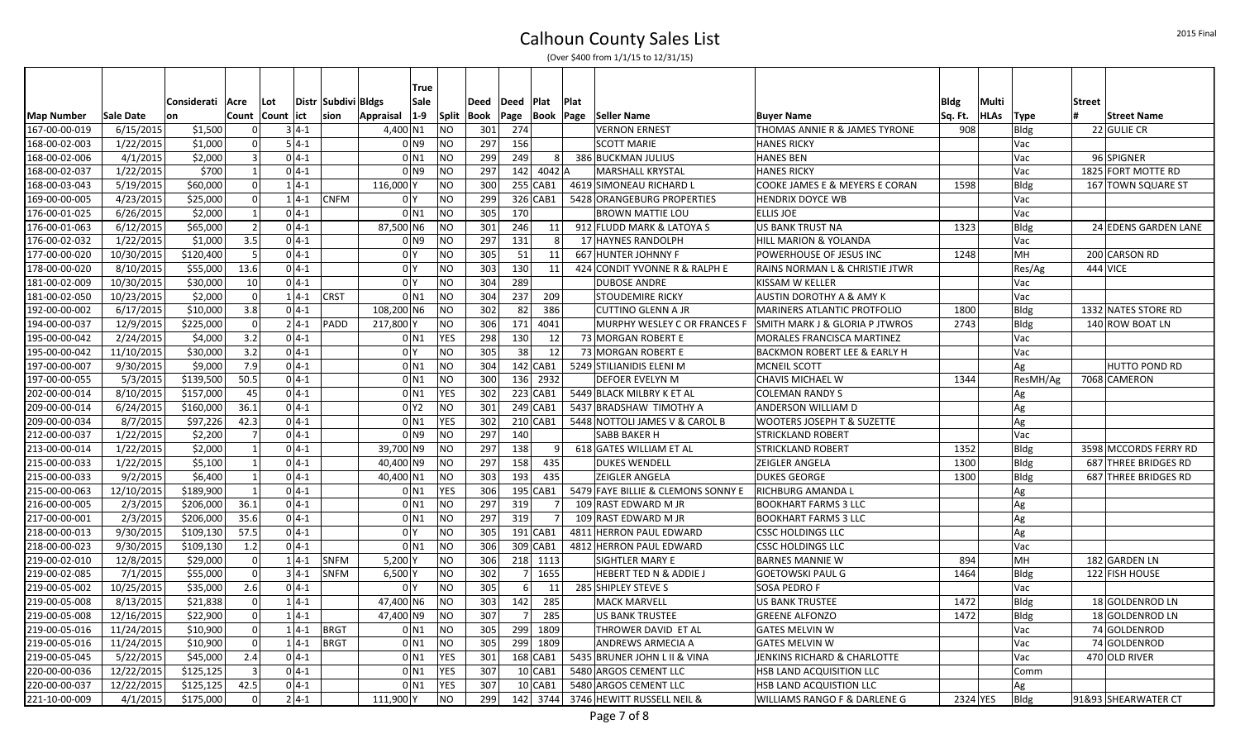|                   |            |             |                 |                     |          |                      |                | True               |                      |            |                |                |                  |                                    |                                         |         |           |             |               |                       |
|-------------------|------------|-------------|-----------------|---------------------|----------|----------------------|----------------|--------------------|----------------------|------------|----------------|----------------|------------------|------------------------------------|-----------------------------------------|---------|-----------|-------------|---------------|-----------------------|
|                   |            | Considerati | Acre            | Lot                 |          | Distr  Subdivi Bldgs |                | Sale               | Deed                 | Deed Plat  |                |                | Plat             |                                    |                                         | Bldg    | Multi     |             | <b>Street</b> |                       |
| <b>Map Number</b> | Sale Date  | on          |                 | Count   Count   ict |          | sion                 | Appraisal      | $1-9$              | <b>Split</b><br>Book |            |                |                | Page  Book  Page | <b>Seller Name</b>                 | <b>Buyer Name</b>                       | Sq. Ft. | HLAs Type |             | #             | <b>Street Name</b>    |
| 167-00-00-019     | 6/15/2015  | \$1,500     | $\Omega$        |                     | $3 4-1$  |                      | 4,400 N1       |                    | NO                   | 274<br>301 |                |                |                  | <b>VERNON ERNEST</b>               | THOMAS ANNIE R & JAMES TYRONE           | 908     |           | <b>Bldg</b> |               | 22 GULIE CR           |
| 168-00-02-003     | 1/22/2015  | \$1,000     | 0               |                     | $5 4-1$  |                      |                | 0 N9               | NO                   | 297<br>156 |                |                |                  | <b>SCOTT MARIE</b>                 | <b>HANES RICKY</b>                      |         |           | Vac         |               |                       |
| 168-00-02-006     | 4/1/2015   | \$2,000     | $\vert$ 3       |                     | $0 4-1 $ |                      |                | $0$ N <sub>1</sub> | NO                   | 299<br>249 |                | 8 <sup>1</sup> |                  | 386 BUCKMAN JULIUS                 | <b>HANES BEN</b>                        |         |           | Vac         |               | 96 SPIGNER            |
| 168-00-02-037     | 1/22/2015  | \$700       | 1               |                     | $0 4-1$  |                      |                | 0 <sub>N9</sub>    | <b>NO</b>            | 297        |                | 142 4042 A     |                  | MARSHALL KRYSTAL                   | <b>HANES RICKY</b>                      |         |           | Vac         |               | 1825 FORT MOTTE RD    |
| 168-00-03-043     | 5/19/2015  | \$60,000    | $\Omega$        |                     | $1 4-1 $ |                      | 116,000 Y      |                    | <b>NO</b>            | 300        |                | $255$ CAB1     |                  | 4619 SIMONEAU RICHARD L            | COOKE JAMES E & MEYERS E CORAN          | 1598    |           | <b>Bldg</b> |               | 167 TOWN SQUARE ST    |
| 169-00-00-005     | 4/23/2015  | \$25,000    | 0               |                     | $1 4-1$  | <b>CNFM</b>          | 0 <sup>1</sup> |                    | <b>NO</b>            | 299        |                | 326 CAB1       |                  | 5428 ORANGEBURG PROPERTIES         | <b>HENDRIX DOYCE WB</b>                 |         |           | Vac         |               |                       |
| 176-00-01-025     | 6/26/2015  | \$2,000     | $\vert$ 1       |                     | $0 4-1$  |                      |                | 0 <sub>N1</sub>    | <b>NO</b>            | 305<br>170 |                |                |                  | <b>BROWN MATTIE LOU</b>            | <b>ELLIS JOE</b>                        |         |           | Vac         |               |                       |
| 176-00-01-063     | 6/12/2015  | \$65,000    | $\vert$ 2       |                     | $0 4-1 $ |                      | 87,500 N6      |                    | <b>NO</b>            | 301<br>246 |                | 11             |                  | 912 FLUDD MARK & LATOYA S          | US BANK TRUST NA                        | 1323    |           | Bldg        |               | 24 EDENS GARDEN LANE  |
| 176-00-02-032     | 1/22/2015  | \$1,000     | 3.5             |                     | $0 4-1 $ |                      |                | 0 N9               | <b>NO</b>            | 297<br>131 |                | 8              |                  | 17 HAYNES RANDOLPH                 | <b>HILL MARION &amp; YOLANDA</b>        |         |           | Vac         |               |                       |
| 177-00-00-020     | 10/30/2015 | \$120.400   | 5               |                     | $0 4-1$  |                      | 0 <sup>1</sup> |                    | <b>NO</b>            | 305        | 51             | 11             |                  | 667 HUNTER JOHNNY F                | POWERHOUSE OF JESUS INC                 | 1248    |           | <b>MH</b>   |               | 200 CARSON RD         |
| 178-00-00-020     | 8/10/2015  | \$55,000    | 13.6            |                     | $0 4-1 $ |                      | 0 <sup>Y</sup> |                    | <b>NO</b>            | 303<br>130 |                | 11             |                  | 424 CONDIT YVONNE R & RALPH E      | RAINS NORMAN L & CHRISTIE JTWR          |         |           | Res/Ag      | 444 VICE      |                       |
| 181-00-02-009     | 10/30/2015 | \$30,000    | 10 <sup>1</sup> |                     | $0 4-1 $ |                      | 0 <sup>1</sup> |                    | <b>NO</b>            | 304<br>289 |                |                |                  | <b>DUBOSE ANDRE</b>                | KISSAM W KELLER                         |         |           | Vac         |               |                       |
| 181-00-02-050     | 10/23/2015 | \$2,000     | $\overline{0}$  |                     | $1 4-1 $ | <b>CRST</b>          |                | 0 <sub>N1</sub>    | <b>NO</b>            | 304<br>237 |                | 209            |                  | STOUDEMIRE RICKY                   | <b>AUSTIN DOROTHY A &amp; AMY K</b>     |         |           | Vac         |               |                       |
| 192-00-00-002     | 6/17/2015  | \$10,000    | 3.8             |                     | $0 4-1$  |                      | 108,200 N6     |                    | <b>NO</b>            | 302        | 82             | 386            |                  | <b>CUTTINO GLENN A JR</b>          | MARINERS ATLANTIC PROTFOLIO             | 1800    |           | Bldg        |               | 1332 NATES STORE RD   |
| 194-00-00-037     | 12/9/2015  | \$225,000   | 0               |                     | $2 4-1 $ | PADD                 | 217,800 Y      |                    | <b>NO</b>            | 306        |                | 171 4041       |                  | MURPHY WESLEY C OR FRANCES F       | SMITH MARK J & GLORIA P JTWROS          | 2743    |           | <b>Bldg</b> |               | 140 ROW BOAT LN       |
| 195-00-00-042     | 2/24/2015  | \$4,000     | 3.2             |                     | $0 4-1$  |                      |                | 0 <sub>N1</sub>    | <b>YES</b>           | 298<br>130 |                | 12             |                  | 73 MORGAN ROBERT E                 | MORALES FRANCISCA MARTINEZ              |         |           | Vac         |               |                       |
| 195-00-00-042     | 11/10/2015 | \$30,000    | 3.2             |                     | $0 4-1 $ |                      | 0 <sup>Y</sup> |                    | <b>NO</b>            | 305        | 38             | 12             |                  | 73 MORGAN ROBERT E                 | BACKMON ROBERT LEE & EARLY H            |         |           | Vac         |               |                       |
| 197-00-00-007     | 9/30/2015  | \$9,000     | 7.9             |                     | $0 4-1$  |                      |                | 0 <sub>N1</sub>    | <b>NO</b>            | 304        |                | $142$ CAB1     |                  | 5249 STILIANIDIS ELENI M           | <b>MCNEIL SCOTT</b>                     |         |           | Ag          |               | HUTTO POND RD         |
| 197-00-00-055     | 5/3/2015   | \$139,500   | 50.5            |                     | $0 4-1$  |                      |                | 0 <sub>N1</sub>    | <b>NO</b>            | 300        |                | 136 2932       |                  | DEFOER EVELYN M                    | <b>CHAVIS MICHAEL W</b>                 | 1344    |           | ResMH/Ag    |               | 7068 CAMERON          |
| 202-00-00-014     | 8/10/2015  | \$157,000   | 45              |                     | $0 4-1$  |                      |                | $0$ N <sub>1</sub> | YES                  | 302        |                | 223 CAB1       |                  | 5449 BLACK MILBRY K ET AL          | <b>COLEMAN RANDY S</b>                  |         |           | Ag          |               |                       |
| 209-00-00-014     | 6/24/2015  | \$160,000   | 36.1            |                     | $0 4-1 $ |                      |                | 0 <sup>2</sup>     | <b>NO</b>            | 301        | 249 CAB1       |                |                  | 5437 BRADSHAW TIMOTHY A            | ANDERSON WILLIAM D                      |         |           | Ag          |               |                       |
| 209-00-00-034     | 8/7/2015   | \$97,226    | 42.3            |                     | $0 4-1$  |                      |                | $0$ N <sub>1</sub> | <b>YES</b>           | 302        |                | $210 $ CAB1    |                  | 5448 NOTTOLI JAMES V & CAROL B     | <b>WOOTERS JOSEPH T &amp; SUZETTE</b>   |         |           | Ag          |               |                       |
| 212-00-00-037     | 1/22/2015  | \$2,200     | $\overline{7}$  |                     | $0 4-1 $ |                      |                | 0 N9               | <b>NO</b>            | 297<br>140 |                |                |                  | <b>SABB BAKER H</b>                | <b>STRICKLAND ROBERT</b>                |         |           | Vac         |               |                       |
| 213-00-00-014     | 1/22/2015  | \$2,000     | $\mathbf{1}$    |                     | $0 4-1$  |                      | 39,700 N9      |                    | <b>NO</b>            | 297<br>138 |                | 9              |                  | 618 GATES WILLIAM ET AL            | <b>STRICKLAND ROBERT</b>                | 1352    |           | <b>Bldg</b> |               | 3598 MCCORDS FERRY RD |
| 215-00-00-033     | 1/22/2015  | \$5,100     | $\vert$ 1       |                     | $0 4-1 $ |                      | 40,400 N9      |                    | NO                   | 297<br>158 |                | 435            |                  | <b>DUKES WENDELL</b>               | <b>ZEIGLER ANGELA</b>                   | 1300    |           | <b>Bldg</b> |               | 687 THREE BRIDGES RD  |
| 215-00-00-033     | 9/2/2015   | \$6,400     | $\vert$ 1       |                     | $0 4-1$  |                      | 40,400 N1      |                    | <b>NO</b>            | 303<br>193 |                | 435            |                  | <b>ZEIGLER ANGELA</b>              | <b>DUKES GEORGE</b>                     | 1300    |           | Bldg        |               | 687 THREE BRIDGES RD  |
| 215-00-00-063     | 12/10/2015 | \$189,900   | $\mathbf{1}$    |                     | $04-1$   |                      |                | $0$ N <sub>1</sub> | <b>YES</b>           | 306        |                | 195 CAB1       |                  | 5479 FAYE BILLIE & CLEMONS SONNY E | <b>RICHBURG AMANDA L</b>                |         |           | Ag          |               |                       |
| 216-00-00-005     | 2/3/2015   | \$206,000   | 36.1            |                     | $0 4-1$  |                      |                | $0$ N1             | <b>NO</b>            | 297<br>319 |                |                |                  | 109 RAST EDWARD M JR               | <b>BOOKHART FARMS 3 LLC</b>             |         |           | Ag          |               |                       |
| 217-00-00-001     | 2/3/2015   | \$206,000   | 35.6            |                     | $0 4-1 $ |                      |                | $0$ N <sub>1</sub> | <b>NO</b>            | 297<br>319 |                |                |                  | 109 RAST EDWARD M JR               | <b>BOOKHART FARMS 3 LLC</b>             |         |           | Ag          |               |                       |
| 218-00-00-013     | 9/30/2015  | \$109,130   | 57.5            |                     | $0 4-1$  |                      | 0 <sup>1</sup> |                    | <b>NO</b>            | 305        |                | $191$ CAB1     |                  | 4811 HERRON PAUL EDWARD            | <b>CSSC HOLDINGS LLC</b>                |         |           | Ag          |               |                       |
| 218-00-00-023     | 9/30/2015  | \$109,130   | 1.2             |                     | $0 4-1$  |                      |                | 0 <sub>N1</sub>    | <b>NO</b>            | 306        |                | 309 CAB1       |                  | 4812 HERRON PAUL EDWARD            | <b>CSSC HOLDINGS LLC</b>                |         |           | Vac         |               |                       |
| 219-00-02-010     | 12/8/2015  | \$29,000    | $\mathbf 0$     |                     | $1 4-1 $ | <b>SNFM</b>          | 5,200 Y        |                    | <b>NO</b>            | 306        |                | 218 1113       |                  | SIGHTLER MARY E                    | <b>BARNES MANNIE W</b>                  | 894     |           | MH          |               | 182 GARDEN LN         |
| 219-00-02-085     | 7/1/2015   | \$55,000    | $\overline{0}$  |                     | $3 4-1 $ | <b>SNFM</b>          | $6,500$ Y      |                    | <b>NO</b>            | 302        |                | 7 1655         |                  | <b>HEBERT TED N &amp; ADDIE J</b>  | GOETOWSKI PAUL G                        | 1464    |           | <b>Bldg</b> |               | 122 FISH HOUSE        |
| 219-00-05-002     | 10/25/2015 | \$35,000    | 2.6             |                     | $0 4-1$  |                      | 0 <sup>1</sup> |                    | <b>NO</b>            | 305        | 6 <sup>1</sup> | 11             |                  | 285 SHIPLEY STEVE S                | <b>SOSA PEDRO F</b>                     |         |           | Vac         |               |                       |
| 219-00-05-008     | 8/13/2015  | \$21,838    | $\Omega$        |                     | $1 4-1$  |                      | 47,400 N6      |                    | <b>NO</b>            | 142<br>303 |                | 285            |                  | <b>MACK MARVELL</b>                | US BANK TRUSTEE                         | 1472    |           | Bldg        |               | 18 GOLDENROD LN       |
| 219-00-05-008     | 12/16/2015 | \$22,900    | 0               |                     | $1 4-1$  |                      | 47,400 N9      |                    | <b>NO</b>            | 307        | 7 <sup>1</sup> | 285            |                  | <b>US BANK TRUSTEE</b>             | <b>GREENE ALFONZO</b>                   | 1472    |           | <b>Bldg</b> |               | 18 GOLDENROD LN       |
| 219-00-05-016     | 11/24/2015 | \$10.900    | 0               |                     | $1 4-1$  | <b>BRGT</b>          |                | 0 <sub>N1</sub>    | NO                   | 305        |                | 299 1809       |                  | THROWER DAVID ET AL                | <b>GATES MELVIN W</b>                   |         |           | Vac         |               | 74 GOLDENROD          |
| 219-00-05-016     | 11/24/2015 | \$10,900    | 0               |                     | $1 4-1 $ | <b>BRGT</b>          |                | 0 <sub>N1</sub>    | <b>NO</b>            | 305        |                | 299 1809       |                  | ANDREWS ARMECIA A                  | <b>GATES MELVIN W</b>                   |         |           | Vac         |               | 74 GOLDENROD          |
| 219-00-05-045     | 5/22/2015  | \$45,000    | 2.4             |                     | $0 4-1 $ |                      |                | 0 <sub>N1</sub>    | <b>YES</b>           | 301        |                | 168 CAB1       |                  | 5435 BRUNER JOHN L II & VINA       | <b>JENKINS RICHARD &amp; CHARLOTTE</b>  |         |           | Vac         |               | 470 OLD RIVER         |
| 220-00-00-036     | 12/22/2015 | \$125,125   | $\overline{3}$  |                     | $0 4-1 $ |                      |                | $0$ N1             | YES                  | 307        | $10$ CAB1      |                |                  | 5480 ARGOS CEMENT LLC              | HSB LAND ACQUISITION LLC                |         |           | Comm        |               |                       |
| 220-00-00-037     | 12/22/2015 | \$125,125   | 42.5            |                     | $0 4-1 $ |                      |                | 0 <sub>N1</sub>    | <b>YES</b>           | 307        |                | $10$ CAB1      |                  | 5480 ARGOS CEMENT LLC              | HSB LAND ACQUISTION LLC                 |         |           | Ag          |               |                       |
| 221-10-00-009     | 4/1/2015   | \$175,000   | $\Omega$        |                     | $2 4-1 $ |                      | 111,900 Y      |                    | <b>NO</b>            | 299        |                | 142 3744       |                  | 3746 HEWITT RUSSELL NEIL &         | <b>WILLIAMS RANGO F &amp; DARLENE G</b> |         | 2324 YES  | <b>Bldg</b> |               | 91&93 SHEARWATER CT   |